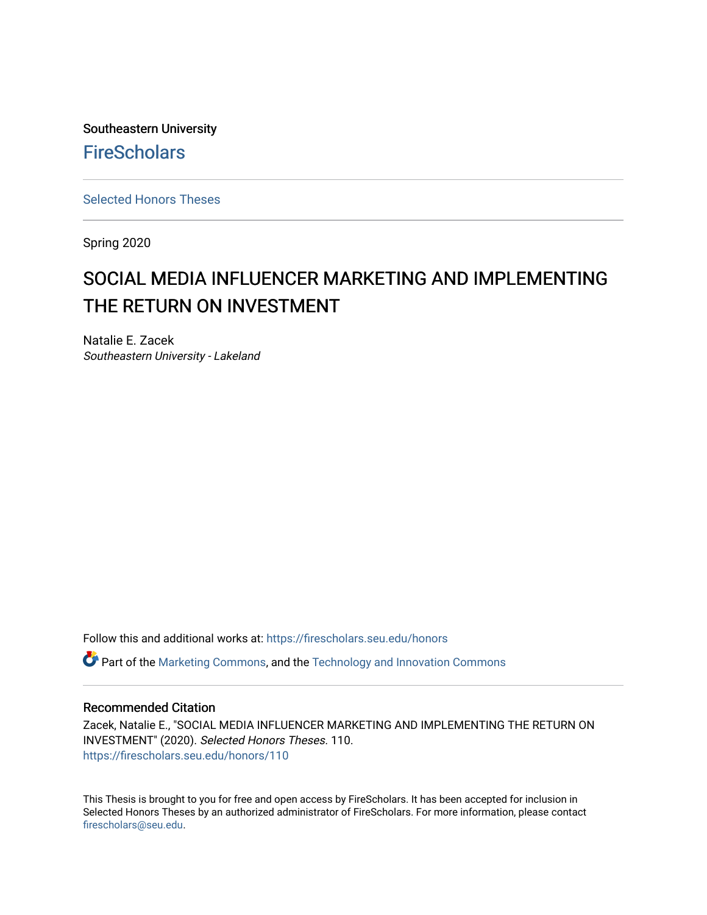Southeastern University **FireScholars** 

[Selected Honors Theses](https://firescholars.seu.edu/honors)

Spring 2020

# SOCIAL MEDIA INFLUENCER MARKETING AND IMPLEMENTING THE RETURN ON INVESTMENT

Natalie E. Zacek Southeastern University - Lakeland

Follow this and additional works at: [https://firescholars.seu.edu/honors](https://firescholars.seu.edu/honors?utm_source=firescholars.seu.edu%2Fhonors%2F110&utm_medium=PDF&utm_campaign=PDFCoverPages)

Part of the [Marketing Commons](http://network.bepress.com/hgg/discipline/638?utm_source=firescholars.seu.edu%2Fhonors%2F110&utm_medium=PDF&utm_campaign=PDFCoverPages), and the [Technology and Innovation Commons](http://network.bepress.com/hgg/discipline/644?utm_source=firescholars.seu.edu%2Fhonors%2F110&utm_medium=PDF&utm_campaign=PDFCoverPages)

### Recommended Citation

Zacek, Natalie E., "SOCIAL MEDIA INFLUENCER MARKETING AND IMPLEMENTING THE RETURN ON INVESTMENT" (2020). Selected Honors Theses. 110. [https://firescholars.seu.edu/honors/110](https://firescholars.seu.edu/honors/110?utm_source=firescholars.seu.edu%2Fhonors%2F110&utm_medium=PDF&utm_campaign=PDFCoverPages)

This Thesis is brought to you for free and open access by FireScholars. It has been accepted for inclusion in Selected Honors Theses by an authorized administrator of FireScholars. For more information, please contact [firescholars@seu.edu.](mailto:firescholars@seu.edu)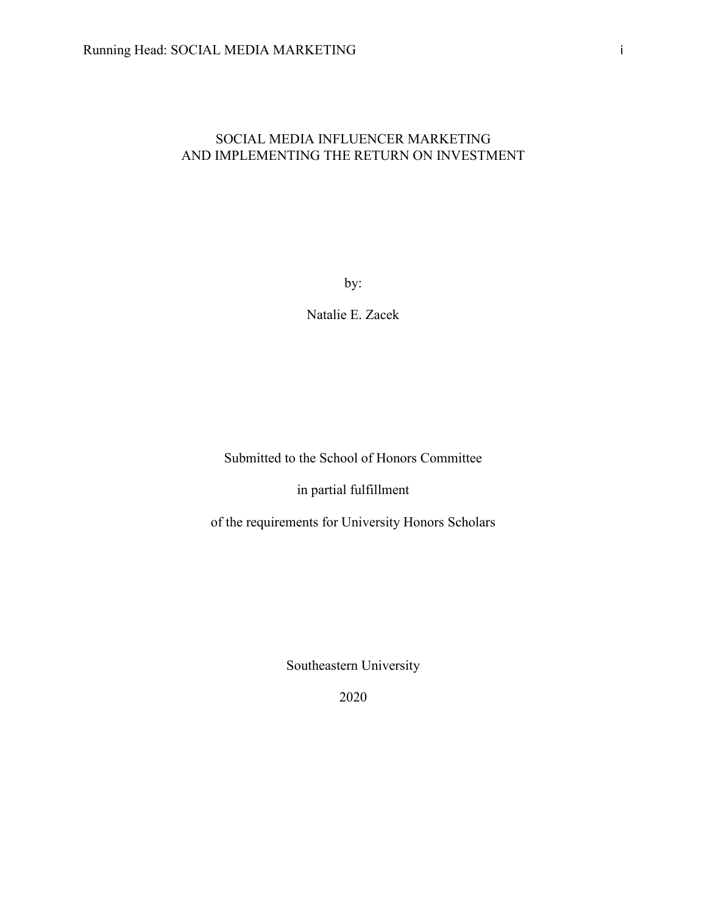# SOCIAL MEDIA INFLUENCER MARKETING AND IMPLEMENTING THE RETURN ON INVESTMENT

by:

Natalie E. Zacek

Submitted to the School of Honors Committee

in partial fulfillment

of the requirements for University Honors Scholars

Southeastern University

2020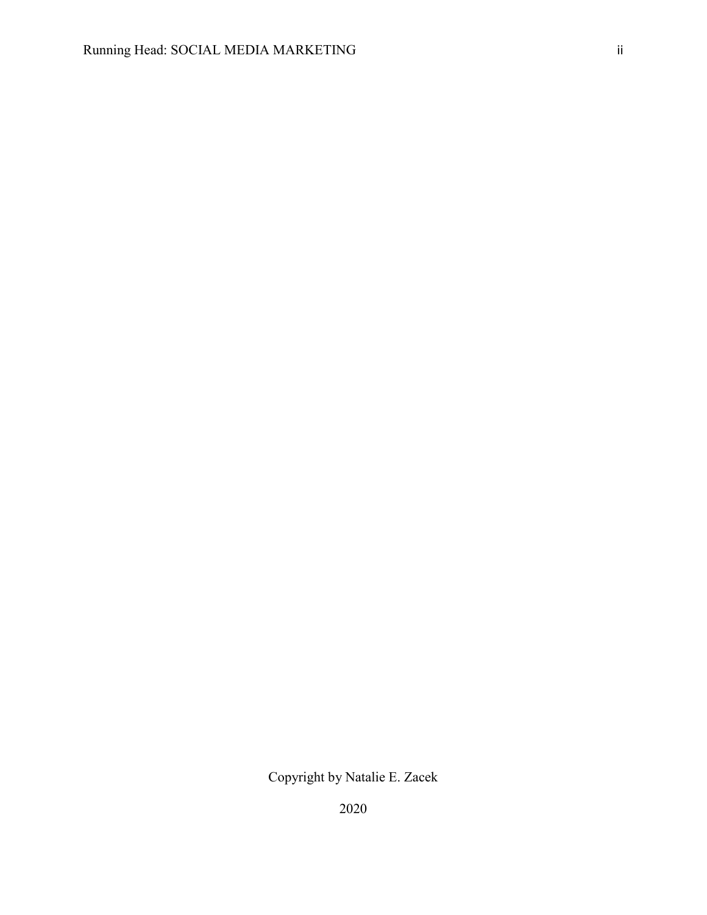2020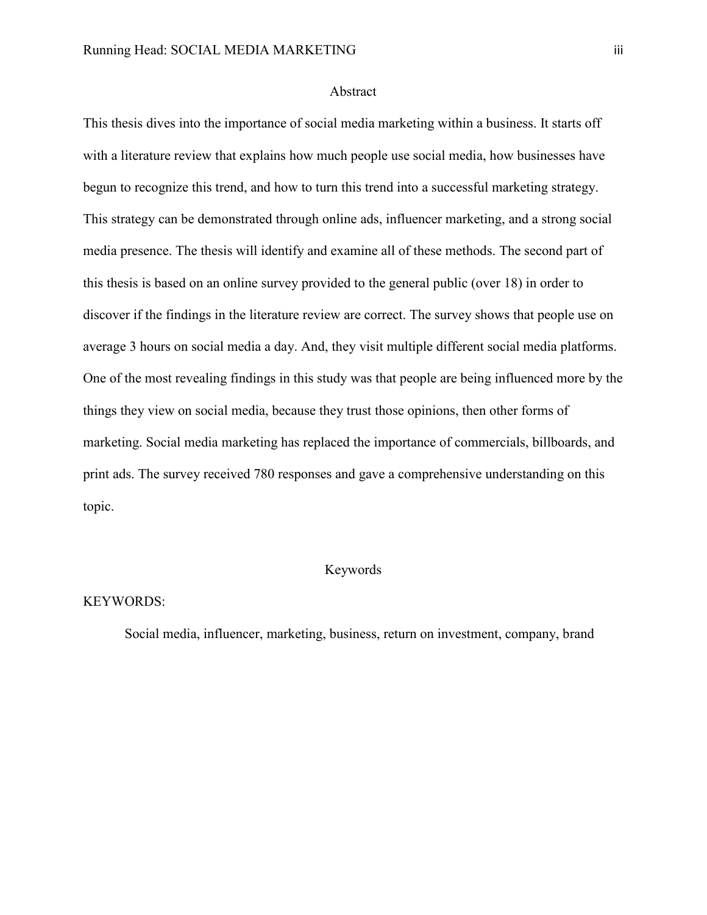#### Abstract

This thesis dives into the importance of social media marketing within a business. It starts off with a literature review that explains how much people use social media, how businesses have begun to recognize this trend, and how to turn this trend into a successful marketing strategy. This strategy can be demonstrated through online ads, influencer marketing, and a strong social media presence. The thesis will identify and examine all of these methods. The second part of this thesis is based on an online survey provided to the general public (over 18) in order to discover if the findings in the literature review are correct. The survey shows that people use on average 3 hours on social media a day. And, they visit multiple different social media platforms. One of the most revealing findings in this study was that people are being influenced more by the things they view on social media, because they trust those opinions, then other forms of marketing. Social media marketing has replaced the importance of commercials, billboards, and print ads. The survey received 780 responses and gave a comprehensive understanding on this topic.

# Keywords

#### KEYWORDS:

Social media, influencer, marketing, business, return on investment, company, brand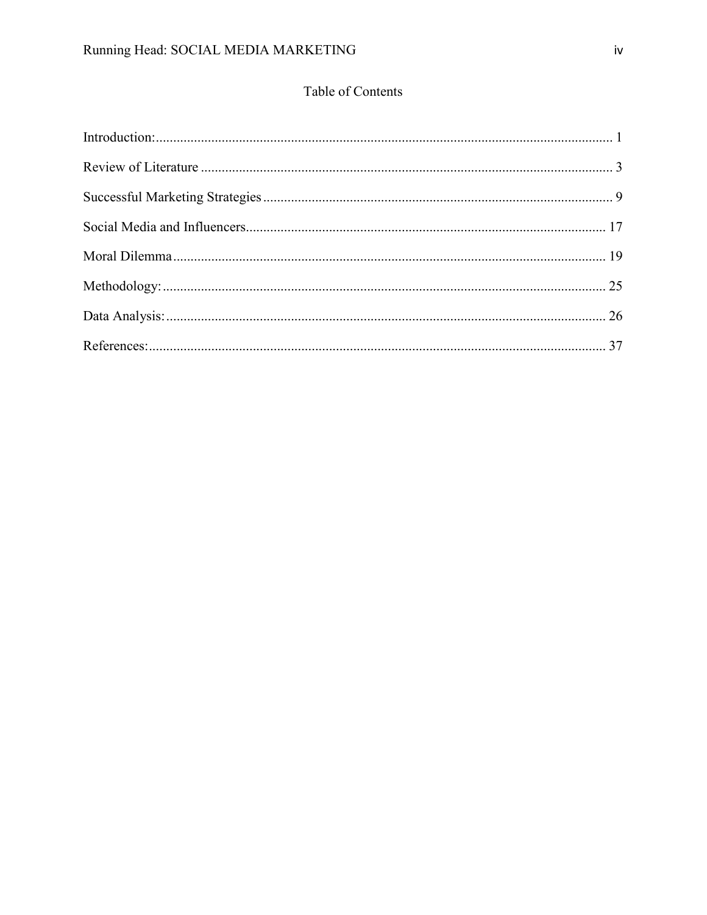# Table of Contents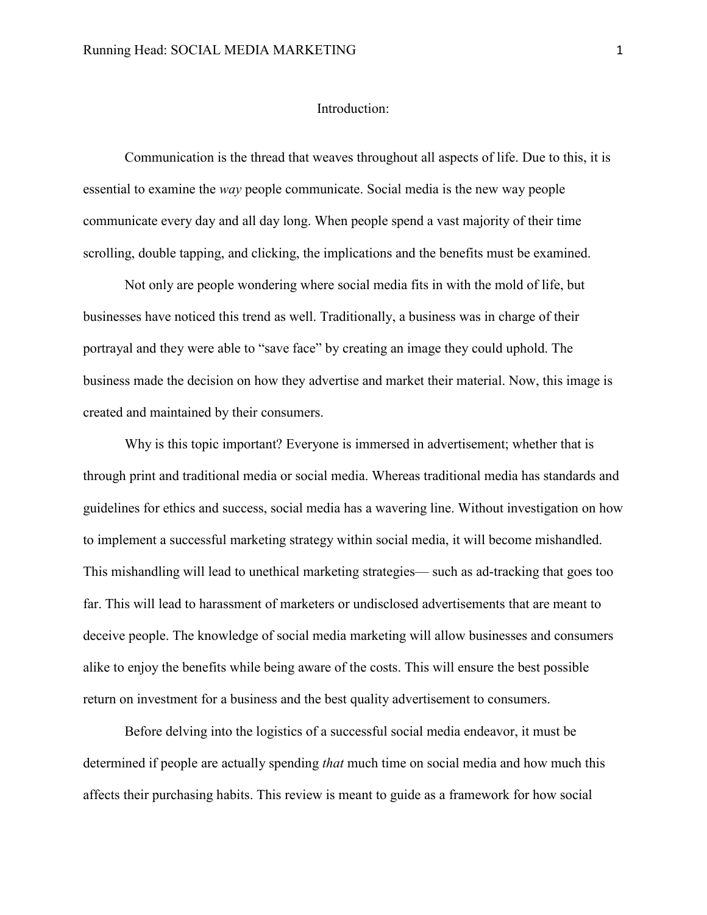# <span id="page-5-0"></span>Introduction:

Communication is the thread that weaves throughout all aspects of life. Due to this, it is essential to examine the *way* people communicate. Social media is the new way people communicate every day and all day long. When people spend a vast majority of their time scrolling, double tapping, and clicking, the implications and the benefits must be examined.

Not only are people wondering where social media fits in with the mold of life, but businesses have noticed this trend as well. Traditionally, a business was in charge of their portrayal and they were able to "save face" by creating an image they could uphold. The business made the decision on how they advertise and market their material. Now, this image is created and maintained by their consumers.

Why is this topic important? Everyone is immersed in advertisement; whether that is through print and traditional media or social media. Whereas traditional media has standards and guidelines for ethics and success, social media has a wavering line. Without investigation on how to implement a successful marketing strategy within social media, it will become mishandled. This mishandling will lead to unethical marketing strategies— such as ad-tracking that goes too far. This will lead to harassment of marketers or undisclosed advertisements that are meant to deceive people. The knowledge of social media marketing will allow businesses and consumers alike to enjoy the benefits while being aware of the costs. This will ensure the best possible return on investment for a business and the best quality advertisement to consumers.

Before delving into the logistics of a successful social media endeavor, it must be determined if people are actually spending *that* much time on social media and how much this affects their purchasing habits. This review is meant to guide as a framework for how social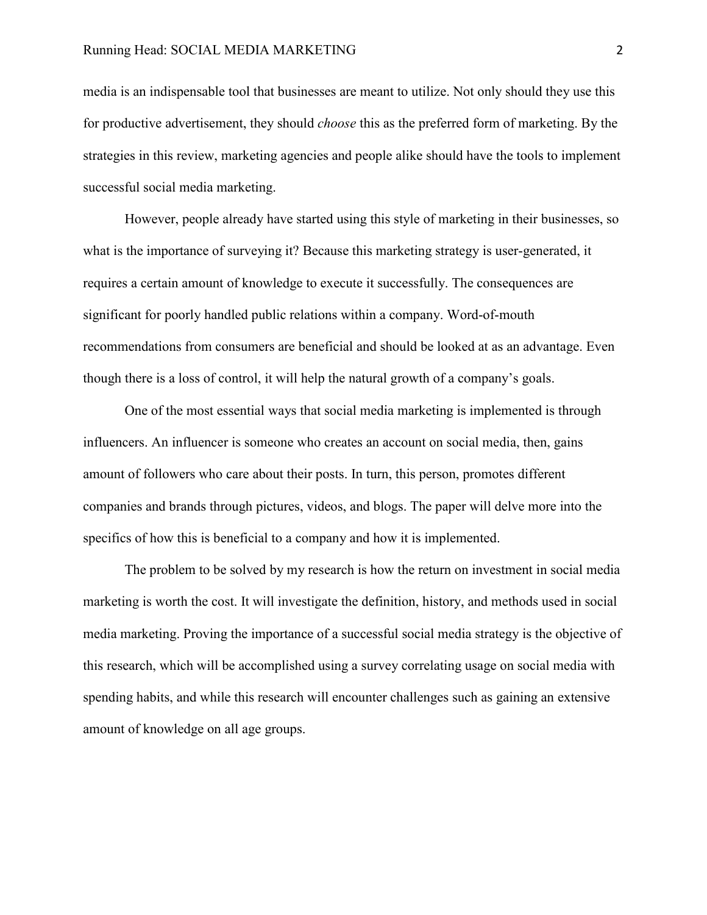media is an indispensable tool that businesses are meant to utilize. Not only should they use this for productive advertisement, they should *choose* this as the preferred form of marketing. By the strategies in this review, marketing agencies and people alike should have the tools to implement successful social media marketing.

However, people already have started using this style of marketing in their businesses, so what is the importance of surveying it? Because this marketing strategy is user-generated, it requires a certain amount of knowledge to execute it successfully. The consequences are significant for poorly handled public relations within a company. Word-of-mouth recommendations from consumers are beneficial and should be looked at as an advantage. Even though there is a loss of control, it will help the natural growth of a company's goals.

One of the most essential ways that social media marketing is implemented is through influencers. An influencer is someone who creates an account on social media, then, gains amount of followers who care about their posts. In turn, this person, promotes different companies and brands through pictures, videos, and blogs. The paper will delve more into the specifics of how this is beneficial to a company and how it is implemented.

The problem to be solved by my research is how the return on investment in social media marketing is worth the cost. It will investigate the definition, history, and methods used in social media marketing. Proving the importance of a successful social media strategy is the objective of this research, which will be accomplished using a survey correlating usage on social media with spending habits, and while this research will encounter challenges such as gaining an extensive amount of knowledge on all age groups.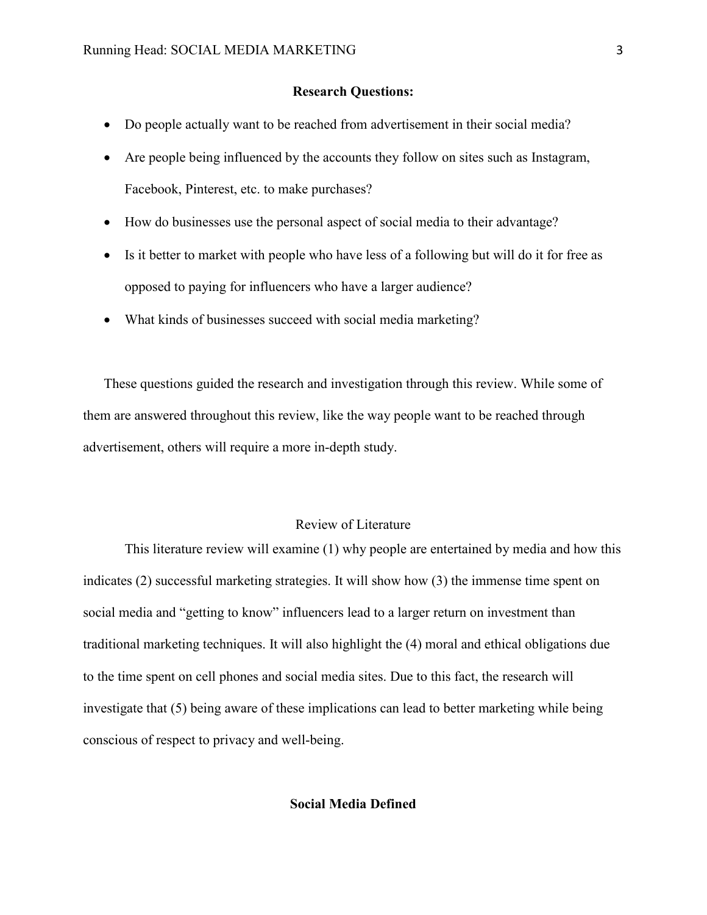# **Research Questions:**

- Do people actually want to be reached from advertisement in their social media?
- Are people being influenced by the accounts they follow on sites such as Instagram, Facebook, Pinterest, etc. to make purchases?
- How do businesses use the personal aspect of social media to their advantage?
- Is it better to market with people who have less of a following but will do it for free as opposed to paying for influencers who have a larger audience?
- What kinds of businesses succeed with social media marketing?

These questions guided the research and investigation through this review. While some of them are answered throughout this review, like the way people want to be reached through advertisement, others will require a more in-depth study.

# Review of Literature

<span id="page-7-0"></span>This literature review will examine (1) why people are entertained by media and how this indicates (2) successful marketing strategies. It will show how (3) the immense time spent on social media and "getting to know" influencers lead to a larger return on investment than traditional marketing techniques. It will also highlight the (4) moral and ethical obligations due to the time spent on cell phones and social media sites. Due to this fact, the research will investigate that (5) being aware of these implications can lead to better marketing while being conscious of respect to privacy and well-being.

#### **Social Media Defined**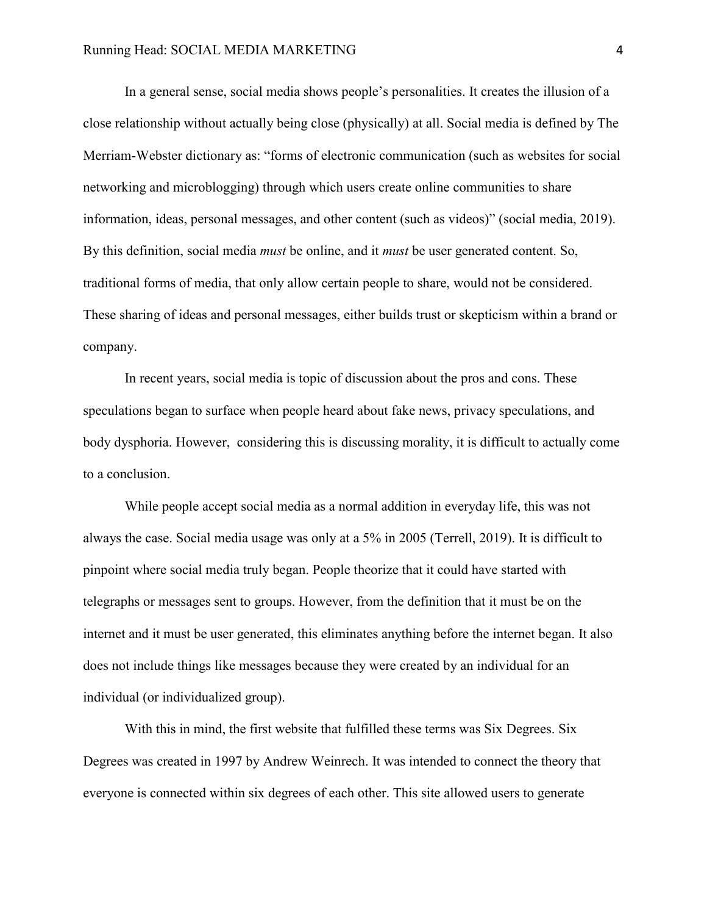In a general sense, social media shows people's personalities. It creates the illusion of a close relationship without actually being close (physically) at all. Social media is defined by The Merriam-Webster dictionary as: "forms of electronic communication (such as websites for social networking and microblogging) through which users create online communities to share information, ideas, personal messages, and other content (such as videos)" (social media, 2019). By this definition, social media *must* be online, and it *must* be user generated content. So, traditional forms of media, that only allow certain people to share, would not be considered. These sharing of ideas and personal messages, either builds trust or skepticism within a brand or company.

In recent years, social media is topic of discussion about the pros and cons. These speculations began to surface when people heard about fake news, privacy speculations, and body dysphoria. However, considering this is discussing morality, it is difficult to actually come to a conclusion.

While people accept social media as a normal addition in everyday life, this was not always the case. Social media usage was only at a 5% in 2005 (Terrell, 2019). It is difficult to pinpoint where social media truly began. People theorize that it could have started with telegraphs or messages sent to groups. However, from the definition that it must be on the internet and it must be user generated, this eliminates anything before the internet began. It also does not include things like messages because they were created by an individual for an individual (or individualized group).

With this in mind, the first website that fulfilled these terms was Six Degrees. Six Degrees was created in 1997 by Andrew Weinrech. It was intended to connect the theory that everyone is connected within six degrees of each other. This site allowed users to generate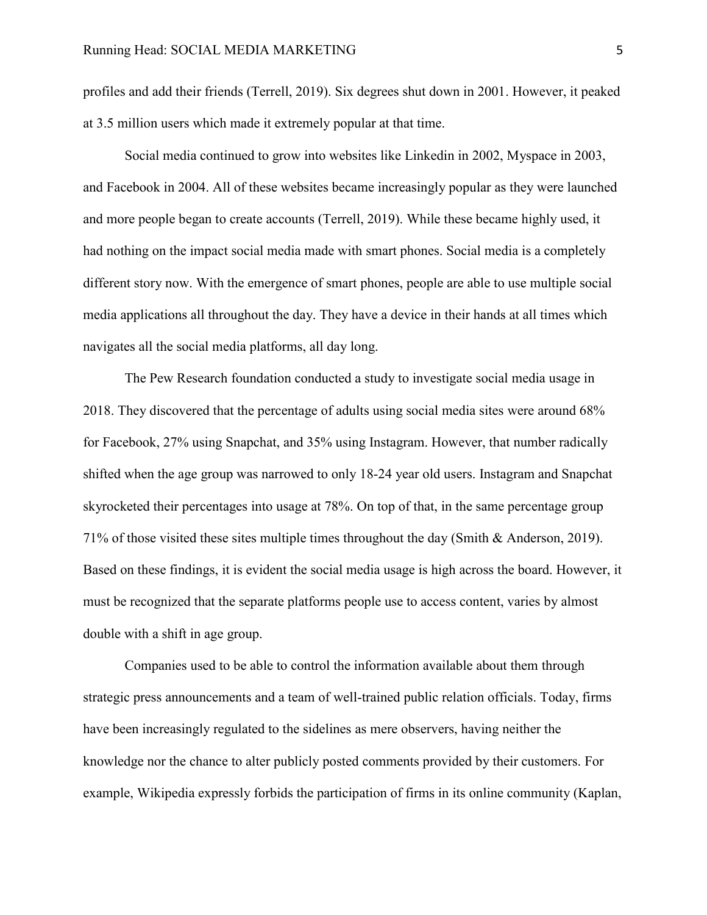profiles and add their friends (Terrell, 2019). Six degrees shut down in 2001. However, it peaked at 3.5 million users which made it extremely popular at that time.

Social media continued to grow into websites like Linkedin in 2002, Myspace in 2003, and Facebook in 2004. All of these websites became increasingly popular as they were launched and more people began to create accounts (Terrell, 2019). While these became highly used, it had nothing on the impact social media made with smart phones. Social media is a completely different story now. With the emergence of smart phones, people are able to use multiple social media applications all throughout the day. They have a device in their hands at all times which navigates all the social media platforms, all day long.

The Pew Research foundation conducted a study to investigate social media usage in 2018. They discovered that the percentage of adults using social media sites were around 68% for Facebook, 27% using Snapchat, and 35% using Instagram. However, that number radically shifted when the age group was narrowed to only 18-24 year old users. Instagram and Snapchat skyrocketed their percentages into usage at 78%. On top of that, in the same percentage group 71% of those visited these sites multiple times throughout the day (Smith & Anderson, 2019). Based on these findings, it is evident the social media usage is high across the board. However, it must be recognized that the separate platforms people use to access content, varies by almost double with a shift in age group.

Companies used to be able to control the information available about them through strategic press announcements and a team of well-trained public relation officials. Today, firms have been increasingly regulated to the sidelines as mere observers, having neither the knowledge nor the chance to alter publicly posted comments provided by their customers. For example, Wikipedia expressly forbids the participation of firms in its online community (Kaplan,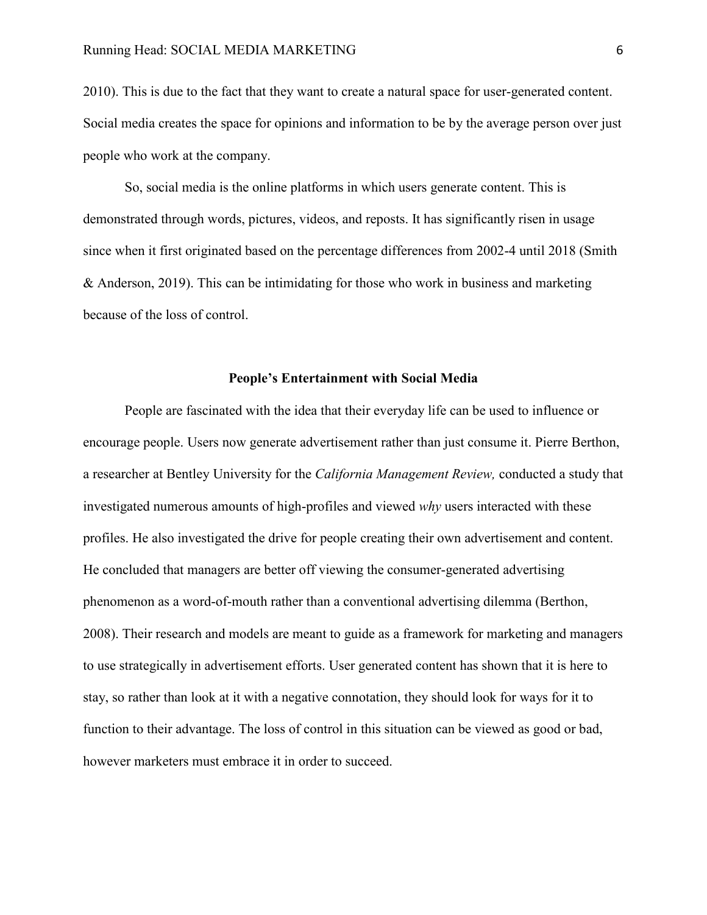2010). This is due to the fact that they want to create a natural space for user-generated content. Social media creates the space for opinions and information to be by the average person over just people who work at the company.

So, social media is the online platforms in which users generate content. This is demonstrated through words, pictures, videos, and reposts. It has significantly risen in usage since when it first originated based on the percentage differences from 2002-4 until 2018 (Smith & Anderson, 2019). This can be intimidating for those who work in business and marketing because of the loss of control.

### **People's Entertainment with Social Media**

People are fascinated with the idea that their everyday life can be used to influence or encourage people. Users now generate advertisement rather than just consume it. Pierre Berthon, a researcher at Bentley University for the *California Management Review,* conducted a study that investigated numerous amounts of high-profiles and viewed *why* users interacted with these profiles. He also investigated the drive for people creating their own advertisement and content. He concluded that managers are better off viewing the consumer-generated advertising phenomenon as a word-of-mouth rather than a conventional advertising dilemma (Berthon, 2008). Their research and models are meant to guide as a framework for marketing and managers to use strategically in advertisement efforts. User generated content has shown that it is here to stay, so rather than look at it with a negative connotation, they should look for ways for it to function to their advantage. The loss of control in this situation can be viewed as good or bad, however marketers must embrace it in order to succeed.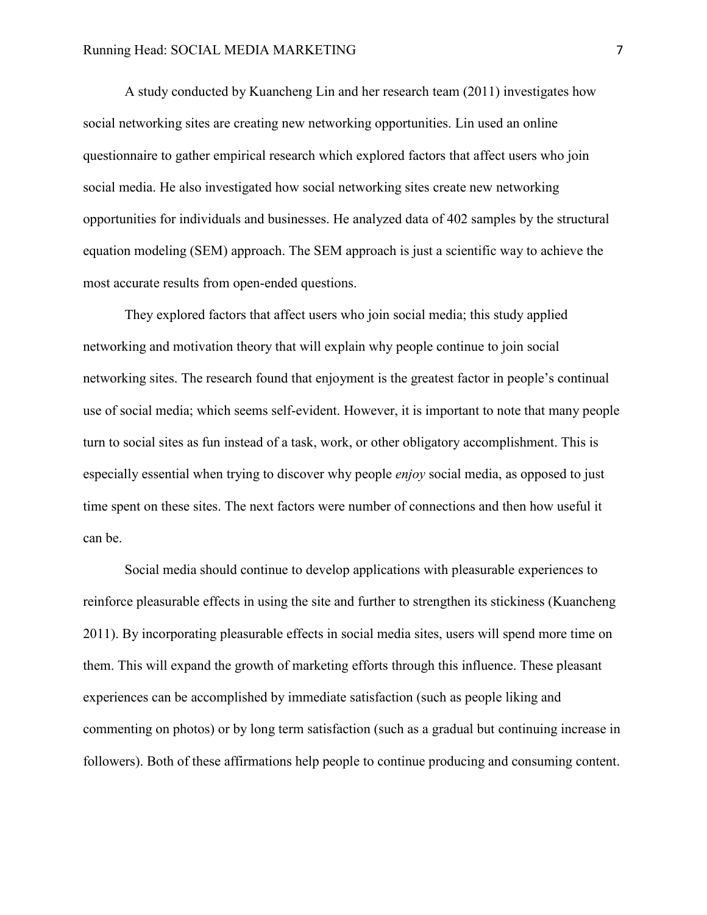A study conducted by Kuancheng Lin and her research team (2011) investigates how social networking sites are creating new networking opportunities. Lin used an online questionnaire to gather empirical research which explored factors that affect users who join social media. He also investigated how social networking sites create new networking opportunities for individuals and businesses. He analyzed data of 402 samples by the structural equation modeling (SEM) approach. The SEM approach is just a scientific way to achieve the most accurate results from open-ended questions.

They explored factors that affect users who join social media; this study applied networking and motivation theory that will explain why people continue to join social networking sites. The research found that enjoyment is the greatest factor in people's continual use of social media; which seems self-evident. However, it is important to note that many people turn to social sites as fun instead of a task, work, or other obligatory accomplishment. This is especially essential when trying to discover why people *enjoy* social media, as opposed to just time spent on these sites. The next factors were number of connections and then how useful it can be.

Social media should continue to develop applications with pleasurable experiences to reinforce pleasurable effects in using the site and further to strengthen its stickiness (Kuancheng 2011). By incorporating pleasurable effects in social media sites, users will spend more time on them. This will expand the growth of marketing efforts through this influence. These pleasant experiences can be accomplished by immediate satisfaction (such as people liking and commenting on photos) or by long term satisfaction (such as a gradual but continuing increase in followers). Both of these affirmations help people to continue producing and consuming content.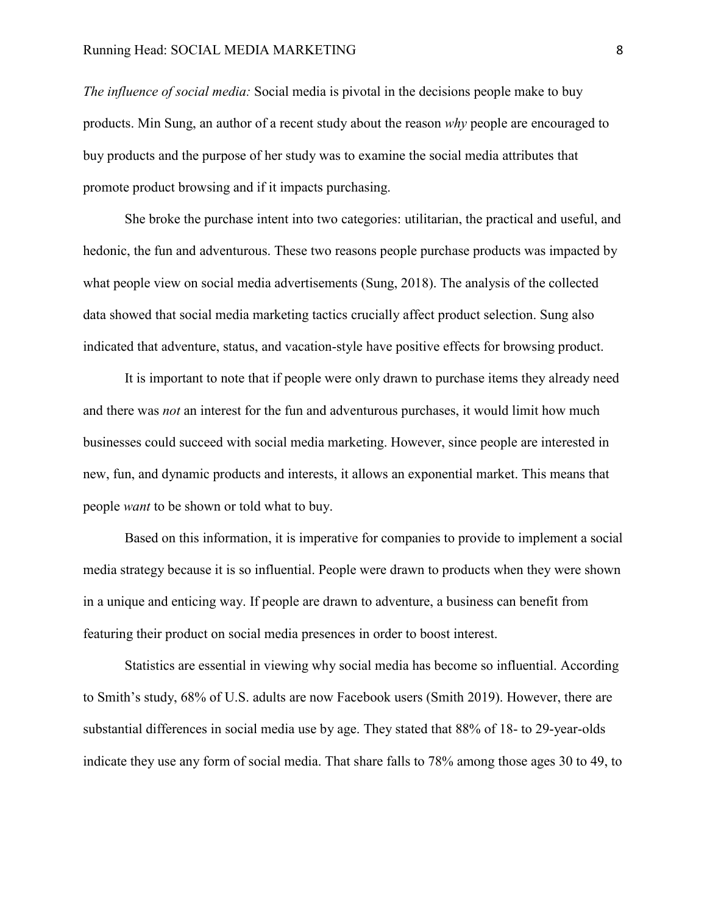*The influence of social media:* Social media is pivotal in the decisions people make to buy products. Min Sung, an author of a recent study about the reason *why* people are encouraged to buy products and the purpose of her study was to examine the social media attributes that promote product browsing and if it impacts purchasing.

She broke the purchase intent into two categories: utilitarian, the practical and useful, and hedonic, the fun and adventurous. These two reasons people purchase products was impacted by what people view on social media advertisements (Sung, 2018). The analysis of the collected data showed that social media marketing tactics crucially affect product selection. Sung also indicated that adventure, status, and vacation-style have positive effects for browsing product.

It is important to note that if people were only drawn to purchase items they already need and there was *not* an interest for the fun and adventurous purchases, it would limit how much businesses could succeed with social media marketing. However, since people are interested in new, fun, and dynamic products and interests, it allows an exponential market. This means that people *want* to be shown or told what to buy.

Based on this information, it is imperative for companies to provide to implement a social media strategy because it is so influential. People were drawn to products when they were shown in a unique and enticing way. If people are drawn to adventure, a business can benefit from featuring their product on social media presences in order to boost interest.

Statistics are essential in viewing why social media has become so influential. According to Smith's study, 68% of U.S. adults are now Facebook users (Smith 2019). However, there are substantial differences in social media use by age. They stated that 88% of 18- to 29-year-olds indicate they use any form of social media. That share falls to 78% among those ages 30 to 49, to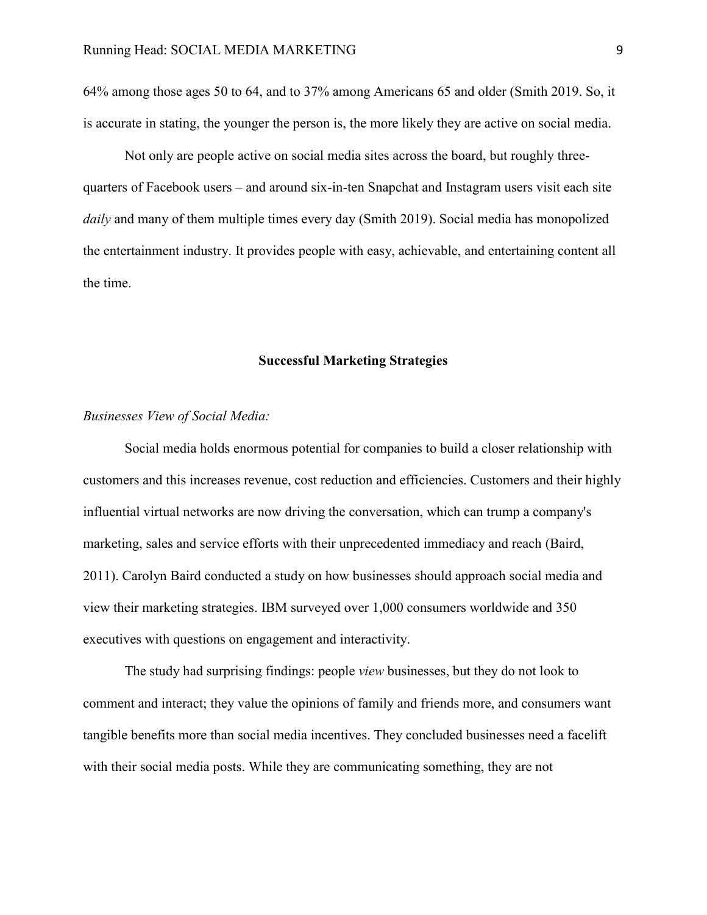64% among those ages 50 to 64, and to 37% among Americans 65 and older (Smith 2019. So, it is accurate in stating, the younger the person is, the more likely they are active on social media.

Not only are people active on social media sites across the board, but roughly threequarters of Facebook users – and around six-in-ten Snapchat and Instagram users visit each site *daily* and many of them multiple times every day (Smith 2019). Social media has monopolized the entertainment industry. It provides people with easy, achievable, and entertaining content all the time.

#### **Successful Marketing Strategies**

# <span id="page-13-0"></span>*Businesses View of Social Media:*

Social media holds enormous potential for companies to build a closer relationship with customers and this increases revenue, cost reduction and efficiencies. Customers and their highly influential virtual networks are now driving the conversation, which can trump a company's marketing, sales and service efforts with their unprecedented immediacy and reach (Baird, 2011). Carolyn Baird conducted a study on how businesses should approach social media and view their marketing strategies. IBM surveyed over 1,000 consumers worldwide and 350 executives with questions on engagement and interactivity.

The study had surprising findings: people *view* businesses, but they do not look to comment and interact; they value the opinions of family and friends more, and consumers want tangible benefits more than social media incentives. They concluded businesses need a facelift with their social media posts. While they are communicating something, they are not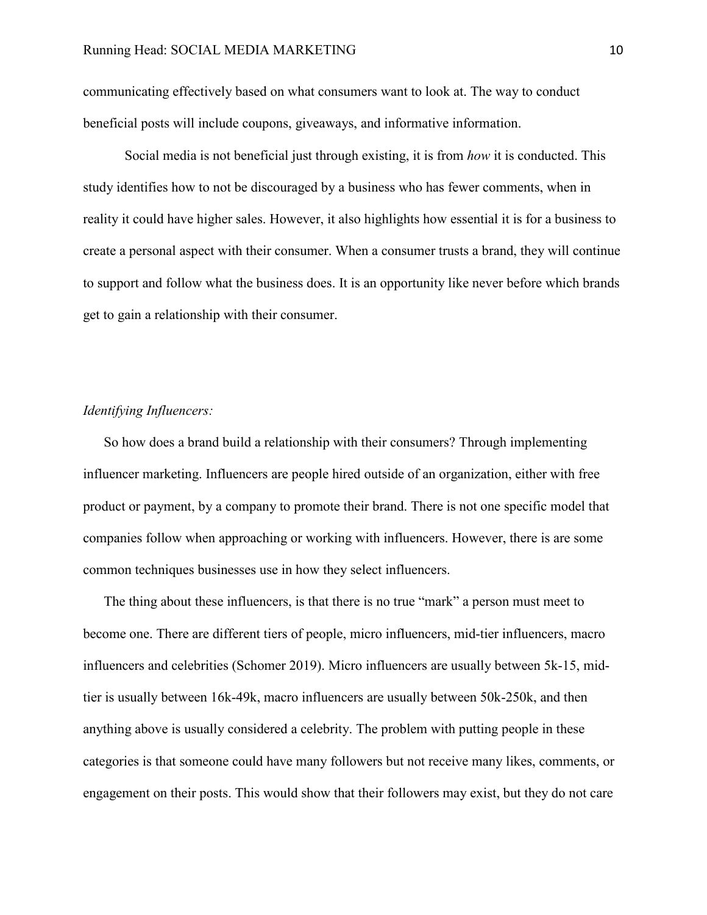communicating effectively based on what consumers want to look at. The way to conduct beneficial posts will include coupons, giveaways, and informative information.

Social media is not beneficial just through existing, it is from *how* it is conducted. This study identifies how to not be discouraged by a business who has fewer comments, when in reality it could have higher sales. However, it also highlights how essential it is for a business to create a personal aspect with their consumer. When a consumer trusts a brand, they will continue to support and follow what the business does. It is an opportunity like never before which brands get to gain a relationship with their consumer.

# *Identifying Influencers:*

So how does a brand build a relationship with their consumers? Through implementing influencer marketing. Influencers are people hired outside of an organization, either with free product or payment, by a company to promote their brand. There is not one specific model that companies follow when approaching or working with influencers. However, there is are some common techniques businesses use in how they select influencers.

The thing about these influencers, is that there is no true "mark" a person must meet to become one. There are different tiers of people, micro influencers, mid-tier influencers, macro influencers and celebrities (Schomer 2019). Micro influencers are usually between 5k-15, midtier is usually between 16k-49k, macro influencers are usually between 50k-250k, and then anything above is usually considered a celebrity. The problem with putting people in these categories is that someone could have many followers but not receive many likes, comments, or engagement on their posts. This would show that their followers may exist, but they do not care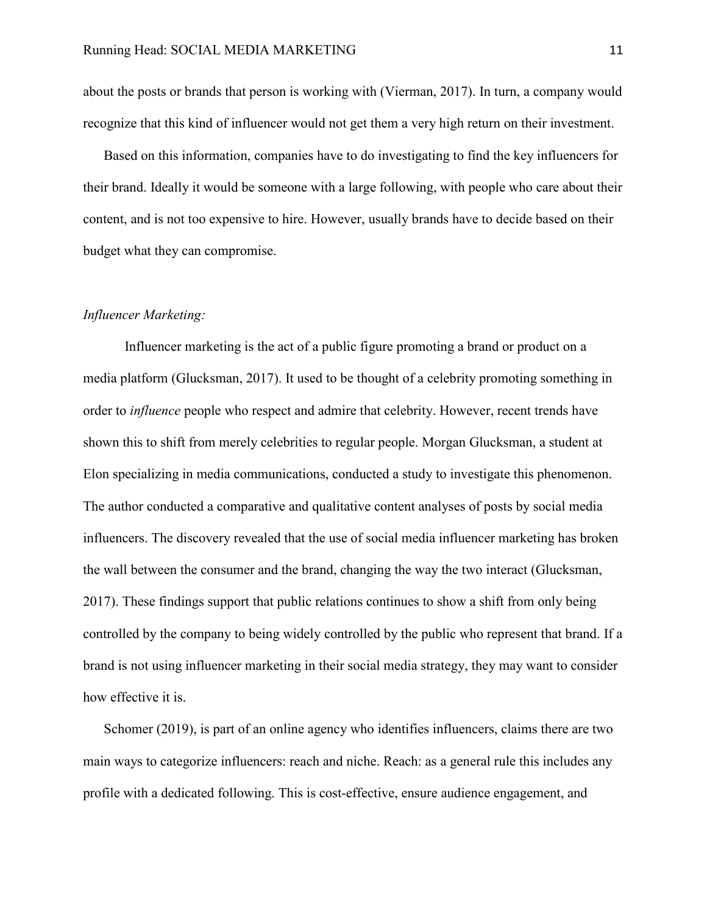about the posts or brands that person is working with (Vierman, 2017). In turn, a company would recognize that this kind of influencer would not get them a very high return on their investment.

Based on this information, companies have to do investigating to find the key influencers for their brand. Ideally it would be someone with a large following, with people who care about their content, and is not too expensive to hire. However, usually brands have to decide based on their budget what they can compromise.

#### *Influencer Marketing:*

Influencer marketing is the act of a public figure promoting a brand or product on a media platform (Glucksman, 2017). It used to be thought of a celebrity promoting something in order to *influence* people who respect and admire that celebrity. However, recent trends have shown this to shift from merely celebrities to regular people. Morgan Glucksman, a student at Elon specializing in media communications, conducted a study to investigate this phenomenon. The author conducted a comparative and qualitative content analyses of posts by social media influencers. The discovery revealed that the use of social media influencer marketing has broken the wall between the consumer and the brand, changing the way the two interact (Glucksman, 2017). These findings support that public relations continues to show a shift from only being controlled by the company to being widely controlled by the public who represent that brand. If a brand is not using influencer marketing in their social media strategy, they may want to consider how effective it is.

Schomer (2019), is part of an online agency who identifies influencers, claims there are two main ways to categorize influencers: reach and niche. Reach: as a general rule this includes any profile with a dedicated following. This is cost-effective, ensure audience engagement, and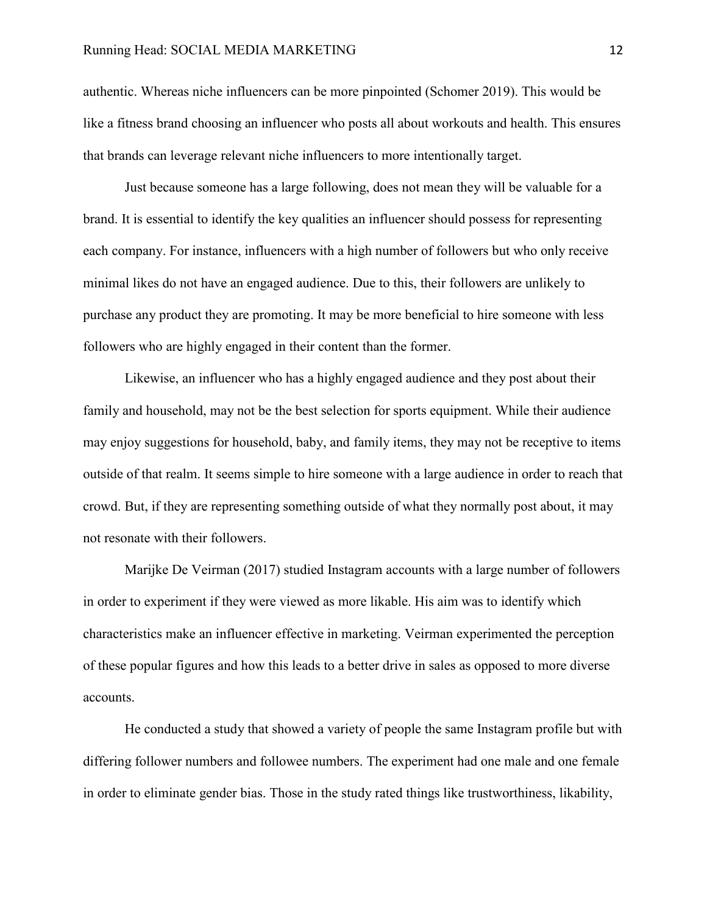authentic. Whereas niche influencers can be more pinpointed (Schomer 2019). This would be like a fitness brand choosing an influencer who posts all about workouts and health. This ensures that brands can leverage relevant niche influencers to more intentionally target.

Just because someone has a large following, does not mean they will be valuable for a brand. It is essential to identify the key qualities an influencer should possess for representing each company. For instance, influencers with a high number of followers but who only receive minimal likes do not have an engaged audience. Due to this, their followers are unlikely to purchase any product they are promoting. It may be more beneficial to hire someone with less followers who are highly engaged in their content than the former.

Likewise, an influencer who has a highly engaged audience and they post about their family and household, may not be the best selection for sports equipment. While their audience may enjoy suggestions for household, baby, and family items, they may not be receptive to items outside of that realm. It seems simple to hire someone with a large audience in order to reach that crowd. But, if they are representing something outside of what they normally post about, it may not resonate with their followers.

Marijke De Veirman (2017) studied Instagram accounts with a large number of followers in order to experiment if they were viewed as more likable. His aim was to identify which characteristics make an influencer effective in marketing. Veirman experimented the perception of these popular figures and how this leads to a better drive in sales as opposed to more diverse accounts.

He conducted a study that showed a variety of people the same Instagram profile but with differing follower numbers and followee numbers. The experiment had one male and one female in order to eliminate gender bias. Those in the study rated things like trustworthiness, likability,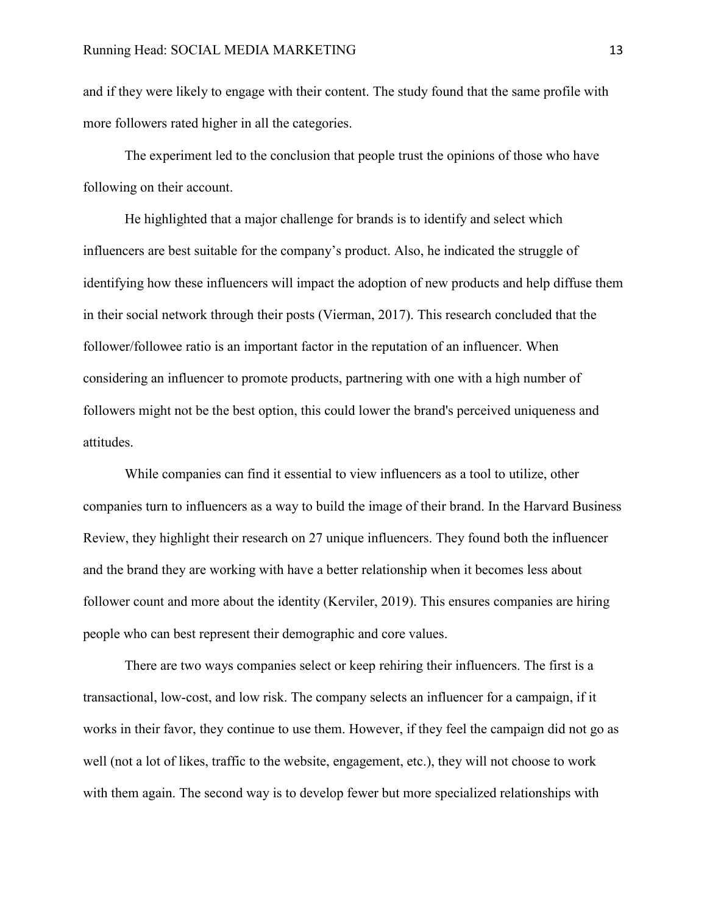and if they were likely to engage with their content. The study found that the same profile with more followers rated higher in all the categories.

The experiment led to the conclusion that people trust the opinions of those who have following on their account.

He highlighted that a major challenge for brands is to identify and select which influencers are best suitable for the company's product. Also, he indicated the struggle of identifying how these influencers will impact the adoption of new products and help diffuse them in their social network through their posts (Vierman, 2017). This research concluded that the follower/followee ratio is an important factor in the reputation of an influencer. When considering an influencer to promote products, partnering with one with a high number of followers might not be the best option, this could lower the brand's perceived uniqueness and attitudes.

While companies can find it essential to view influencers as a tool to utilize, other companies turn to influencers as a way to build the image of their brand. In the Harvard Business Review, they highlight their research on 27 unique influencers. They found both the influencer and the brand they are working with have a better relationship when it becomes less about follower count and more about the identity (Kerviler, 2019). This ensures companies are hiring people who can best represent their demographic and core values.

There are two ways companies select or keep rehiring their influencers. The first is a transactional, low-cost, and low risk. The company selects an influencer for a campaign, if it works in their favor, they continue to use them. However, if they feel the campaign did not go as well (not a lot of likes, traffic to the website, engagement, etc.), they will not choose to work with them again. The second way is to develop fewer but more specialized relationships with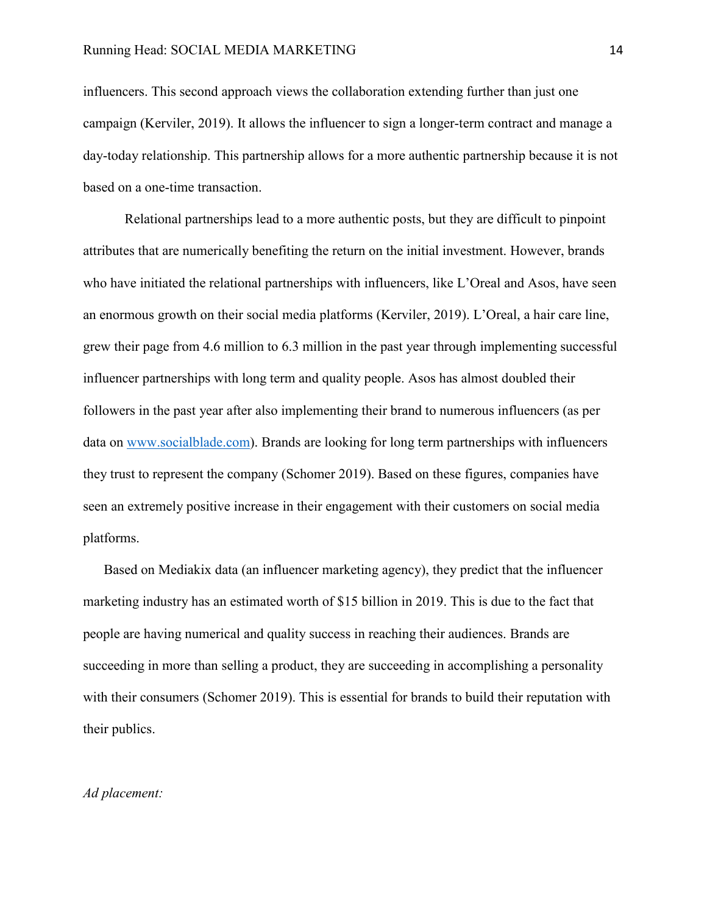influencers. This second approach views the collaboration extending further than just one campaign (Kerviler, 2019). It allows the influencer to sign a longer-term contract and manage a day-today relationship. This partnership allows for a more authentic partnership because it is not based on a one-time transaction.

Relational partnerships lead to a more authentic posts, but they are difficult to pinpoint attributes that are numerically benefiting the return on the initial investment. However, brands who have initiated the relational partnerships with influencers, like L'Oreal and Asos, have seen an enormous growth on their social media platforms (Kerviler, 2019). L'Oreal, a hair care line, grew their page from 4.6 million to 6.3 million in the past year through implementing successful influencer partnerships with long term and quality people. Asos has almost doubled their followers in the past year after also implementing their brand to numerous influencers (as per data on [www.socialblade.com\)](https://socialblade.com/). Brands are looking for long term partnerships with influencers they trust to represent the company (Schomer 2019). Based on these figures, companies have seen an extremely positive increase in their engagement with their customers on social media platforms.

Based on Mediakix data (an influencer marketing agency), they predict that the influencer marketing industry has an estimated worth of \$15 billion in 2019. This is due to the fact that people are having numerical and quality success in reaching their audiences. Brands are succeeding in more than selling a product, they are succeeding in accomplishing a personality with their consumers (Schomer 2019). This is essential for brands to build their reputation with their publics.

### *Ad placement:*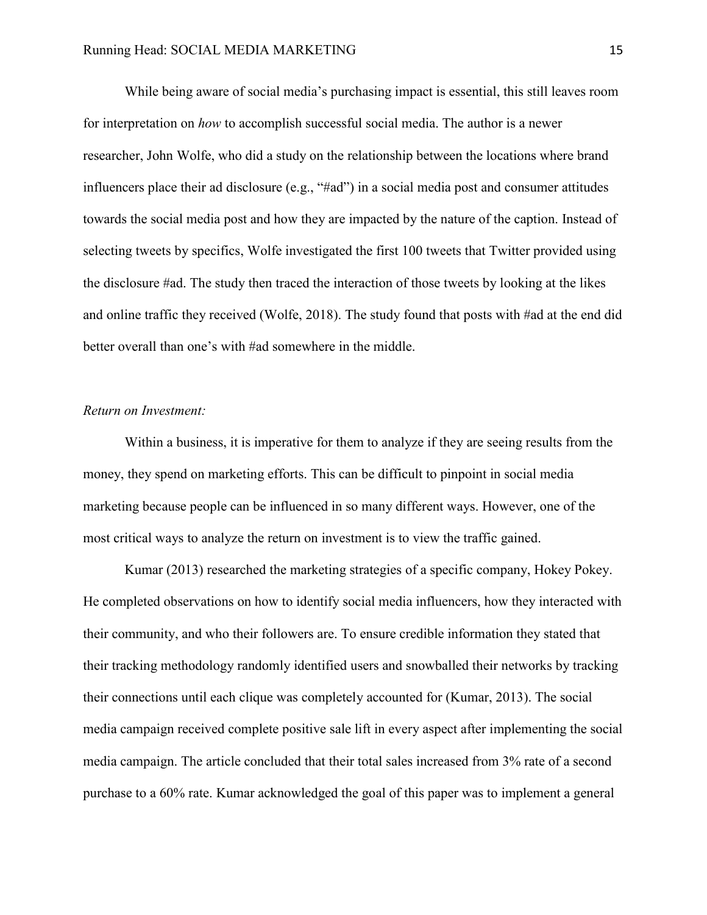While being aware of social media's purchasing impact is essential, this still leaves room for interpretation on *how* to accomplish successful social media. The author is a newer researcher, John Wolfe, who did a study on the relationship between the locations where brand influencers place their ad disclosure (e.g., "#ad") in a social media post and consumer attitudes towards the social media post and how they are impacted by the nature of the caption. Instead of selecting tweets by specifics, Wolfe investigated the first 100 tweets that Twitter provided using the disclosure #ad. The study then traced the interaction of those tweets by looking at the likes and online traffic they received (Wolfe, 2018). The study found that posts with #ad at the end did better overall than one's with #ad somewhere in the middle.

#### *Return on Investment:*

Within a business, it is imperative for them to analyze if they are seeing results from the money, they spend on marketing efforts. This can be difficult to pinpoint in social media marketing because people can be influenced in so many different ways. However, one of the most critical ways to analyze the return on investment is to view the traffic gained.

Kumar (2013) researched the marketing strategies of a specific company, Hokey Pokey. He completed observations on how to identify social media influencers, how they interacted with their community, and who their followers are. To ensure credible information they stated that their tracking methodology randomly identified users and snowballed their networks by tracking their connections until each clique was completely accounted for (Kumar, 2013). The social media campaign received complete positive sale lift in every aspect after implementing the social media campaign. The article concluded that their total sales increased from 3% rate of a second purchase to a 60% rate. Kumar acknowledged the goal of this paper was to implement a general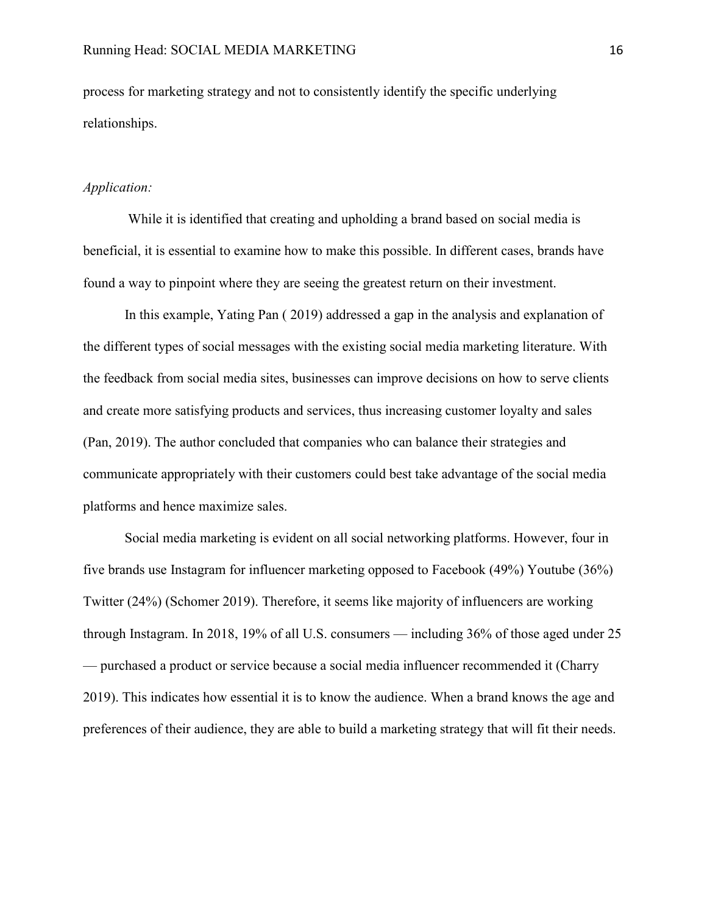process for marketing strategy and not to consistently identify the specific underlying relationships.

#### *Application:*

While it is identified that creating and upholding a brand based on social media is beneficial, it is essential to examine how to make this possible. In different cases, brands have found a way to pinpoint where they are seeing the greatest return on their investment.

In this example, Yating Pan ( 2019) addressed a gap in the analysis and explanation of the different types of social messages with the existing social media marketing literature. With the feedback from social media sites, businesses can improve decisions on how to serve clients and create more satisfying products and services, thus increasing customer loyalty and sales (Pan, 2019). The author concluded that companies who can balance their strategies and communicate appropriately with their customers could best take advantage of the social media platforms and hence maximize sales.

Social media marketing is evident on all social networking platforms. However, four in five brands use Instagram for influencer marketing opposed to Facebook (49%) Youtube (36%) Twitter (24%) (Schomer 2019). Therefore, it seems like majority of influencers are working through Instagram. In 2018, 19% of all U.S. consumers — including 36% of those aged under 25 — purchased a product or service because a social media influencer recommended it (Charry 2019). This indicates how essential it is to know the audience. When a brand knows the age and preferences of their audience, they are able to build a marketing strategy that will fit their needs.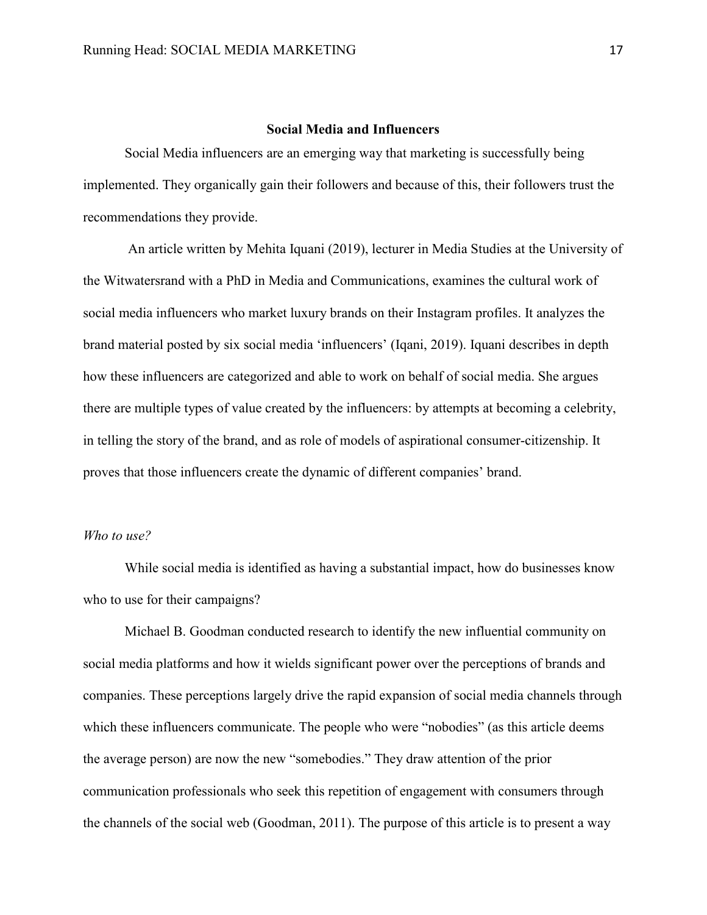# **Social Media and Influencers**

<span id="page-21-0"></span>Social Media influencers are an emerging way that marketing is successfully being implemented. They organically gain their followers and because of this, their followers trust the recommendations they provide.

An article written by Mehita Iquani (2019), lecturer in Media Studies at the University of the Witwatersrand with a PhD in Media and Communications, examines the cultural work of social media influencers who market luxury brands on their Instagram profiles. It analyzes the brand material posted by six social media 'influencers' (Iqani, 2019). Iquani describes in depth how these influencers are categorized and able to work on behalf of social media. She argues there are multiple types of value created by the influencers: by attempts at becoming a celebrity, in telling the story of the brand, and as role of models of aspirational consumer-citizenship. It proves that those influencers create the dynamic of different companies' brand.

# *Who to use?*

While social media is identified as having a substantial impact, how do businesses know who to use for their campaigns?

Michael B. Goodman conducted research to identify the new influential community on social media platforms and how it wields significant power over the perceptions of brands and companies. These perceptions largely drive the rapid expansion of social media channels through which these influencers communicate. The people who were "nobodies" (as this article deems the average person) are now the new "somebodies." They draw attention of the prior communication professionals who seek this repetition of engagement with consumers through the channels of the social web (Goodman, 2011). The purpose of this article is to present a way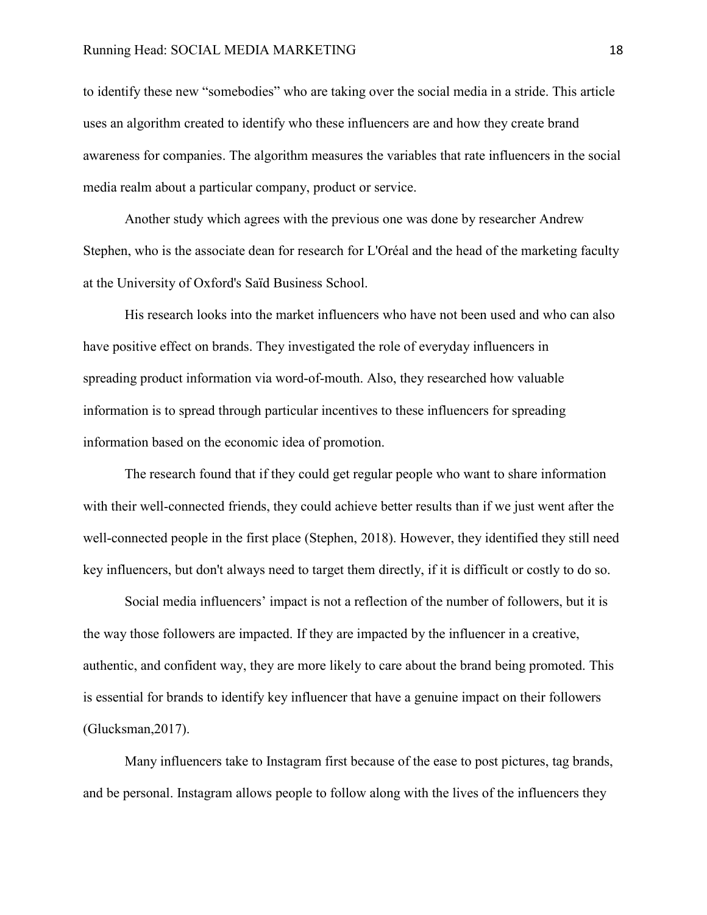to identify these new "somebodies" who are taking over the social media in a stride. This article uses an algorithm created to identify who these influencers are and how they create brand awareness for companies. The algorithm measures the variables that rate influencers in the social media realm about a particular company, product or service.

Another study which agrees with the previous one was done by researcher Andrew Stephen, who is the associate dean for research for L'Oréal and the head of the marketing faculty at the University of Oxford's Saïd Business School.

His research looks into the market influencers who have not been used and who can also have positive effect on brands. They investigated the role of everyday influencers in spreading product information via word-of-mouth. Also, they researched how valuable information is to spread through particular incentives to these influencers for spreading information based on the economic idea of promotion.

The research found that if they could get regular people who want to share information with their well-connected friends, they could achieve better results than if we just went after the well-connected people in the first place (Stephen, 2018). However, they identified they still need key influencers, but don't always need to target them directly, if it is difficult or costly to do so.

Social media influencers' impact is not a reflection of the number of followers, but it is the way those followers are impacted. If they are impacted by the influencer in a creative, authentic, and confident way, they are more likely to care about the brand being promoted. This is essential for brands to identify key influencer that have a genuine impact on their followers (Glucksman,2017).

Many influencers take to Instagram first because of the ease to post pictures, tag brands, and be personal. Instagram allows people to follow along with the lives of the influencers they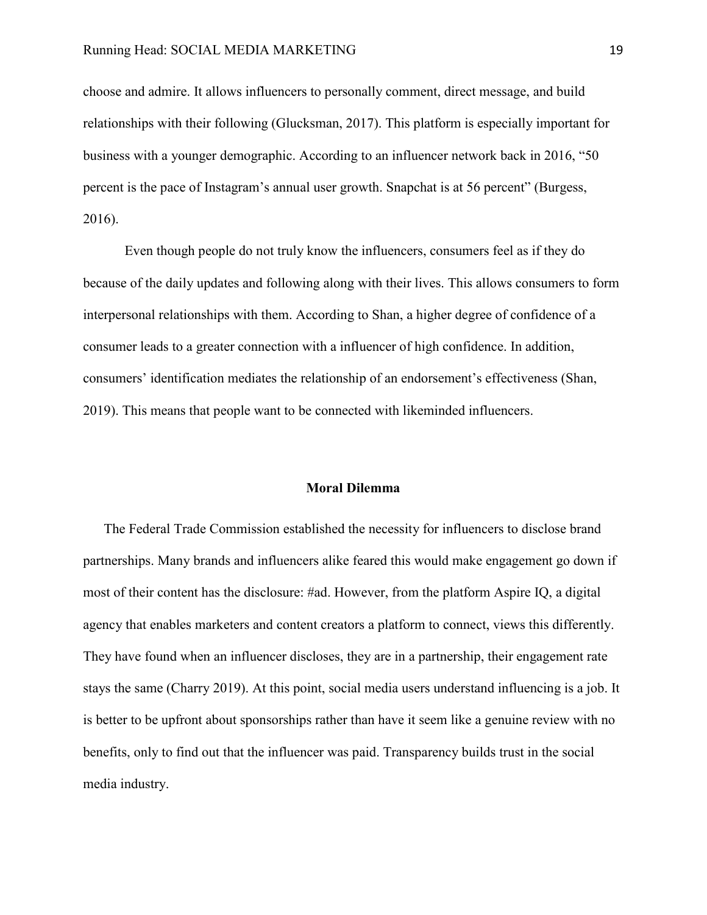choose and admire. It allows influencers to personally comment, direct message, and build relationships with their following (Glucksman, 2017). This platform is especially important for business with a younger demographic. According to an influencer network back in 2016, "50 percent is the pace of Instagram's annual user growth. Snapchat is at 56 percent" (Burgess, 2016).

Even though people do not truly know the influencers, consumers feel as if they do because of the daily updates and following along with their lives. This allows consumers to form interpersonal relationships with them. According to Shan, a higher degree of confidence of a consumer leads to a greater connection with a influencer of high confidence. In addition, consumers' identification mediates the relationship of an endorsement's effectiveness (Shan, 2019). This means that people want to be connected with likeminded influencers.

#### **Moral Dilemma**

<span id="page-23-0"></span>The Federal Trade Commission established the necessity for influencers to disclose brand partnerships. Many brands and influencers alike feared this would make engagement go down if most of their content has the disclosure: #ad. However, from the platform Aspire IQ, a digital agency that enables marketers and content creators a platform to connect, views this differently. They have found when an influencer discloses, they are in a partnership, their engagement rate stays the same (Charry 2019). At this point, social media users understand influencing is a job. It is better to be upfront about sponsorships rather than have it seem like a genuine review with no benefits, only to find out that the influencer was paid. Transparency builds trust in the social media industry.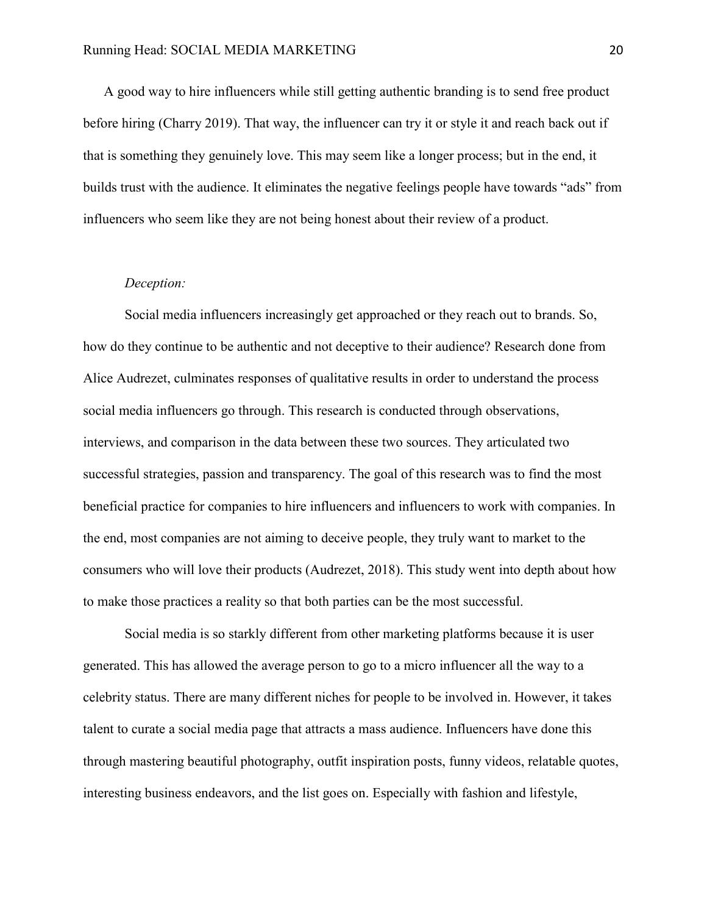A good way to hire influencers while still getting authentic branding is to send free product before hiring (Charry 2019). That way, the influencer can try it or style it and reach back out if that is something they genuinely love. This may seem like a longer process; but in the end, it builds trust with the audience. It eliminates the negative feelings people have towards "ads" from influencers who seem like they are not being honest about their review of a product.

#### *Deception:*

Social media influencers increasingly get approached or they reach out to brands. So, how do they continue to be authentic and not deceptive to their audience? Research done from Alice Audrezet, culminates responses of qualitative results in order to understand the process social media influencers go through. This research is conducted through observations, interviews, and comparison in the data between these two sources. They articulated two successful strategies, passion and transparency. The goal of this research was to find the most beneficial practice for companies to hire influencers and influencers to work with companies. In the end, most companies are not aiming to deceive people, they truly want to market to the consumers who will love their products (Audrezet, 2018). This study went into depth about how to make those practices a reality so that both parties can be the most successful.

Social media is so starkly different from other marketing platforms because it is user generated. This has allowed the average person to go to a micro influencer all the way to a celebrity status. There are many different niches for people to be involved in. However, it takes talent to curate a social media page that attracts a mass audience. Influencers have done this through mastering beautiful photography, outfit inspiration posts, funny videos, relatable quotes, interesting business endeavors, and the list goes on. Especially with fashion and lifestyle,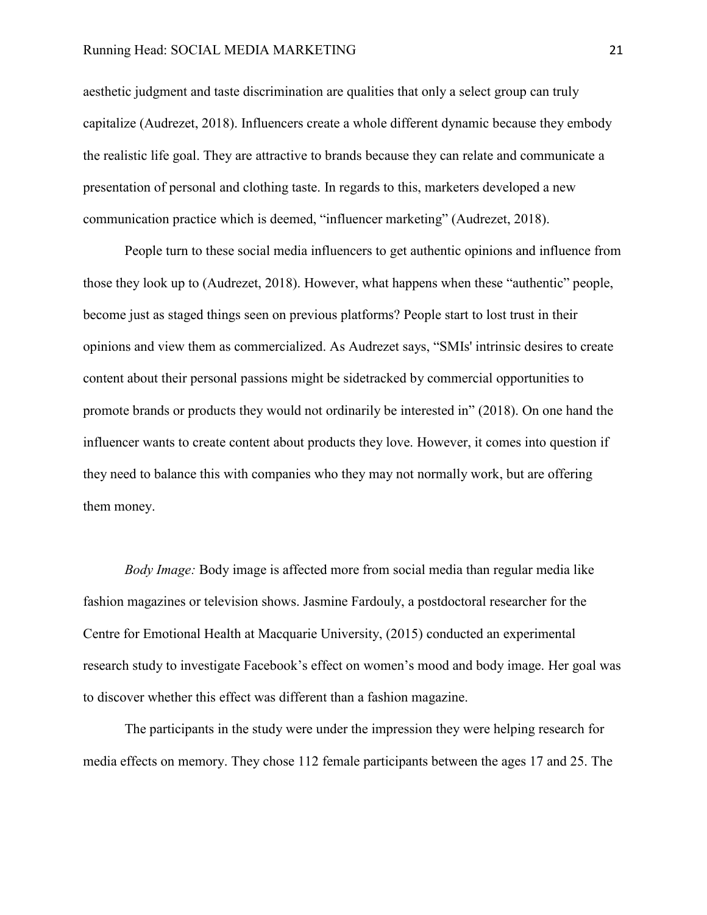#### Running Head: SOCIAL MEDIA MARKETING 21

aesthetic judgment and taste discrimination are qualities that only a select group can truly capitalize (Audrezet, 2018). Influencers create a whole different dynamic because they embody the realistic life goal. They are attractive to brands because they can relate and communicate a presentation of personal and clothing taste. In regards to this, marketers developed a new communication practice which is deemed, "influencer marketing" (Audrezet, 2018).

People turn to these social media influencers to get authentic opinions and influence from those they look up to (Audrezet, 2018). However, what happens when these "authentic" people, become just as staged things seen on previous platforms? People start to lost trust in their opinions and view them as commercialized. As Audrezet says, "SMIs' intrinsic desires to create content about their personal passions might be sidetracked by commercial opportunities to promote brands or products they would not ordinarily be interested in" (2018). On one hand the influencer wants to create content about products they love. However, it comes into question if they need to balance this with companies who they may not normally work, but are offering them money.

*Body Image:* Body image is affected more from social media than regular media like fashion magazines or television shows. Jasmine Fardouly, a postdoctoral researcher for the Centre for Emotional Health at Macquarie University, (2015) conducted an experimental research study to investigate Facebook's effect on women's mood and body image. Her goal was to discover whether this effect was different than a fashion magazine.

The participants in the study were under the impression they were helping research for media effects on memory. They chose 112 female participants between the ages 17 and 25. The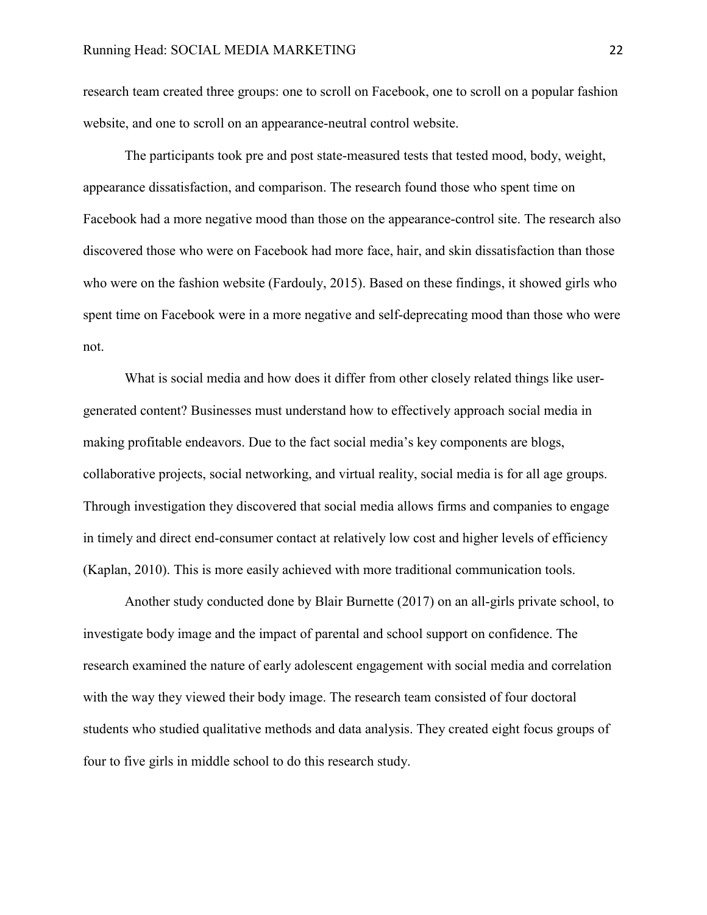research team created three groups: one to scroll on Facebook, one to scroll on a popular fashion website, and one to scroll on an appearance-neutral control website.

The participants took pre and post state-measured tests that tested mood, body, weight, appearance dissatisfaction, and comparison. The research found those who spent time on Facebook had a more negative mood than those on the appearance-control site. The research also discovered those who were on Facebook had more face, hair, and skin dissatisfaction than those who were on the fashion website (Fardouly, 2015). Based on these findings, it showed girls who spent time on Facebook were in a more negative and self-deprecating mood than those who were not.

What is social media and how does it differ from other closely related things like usergenerated content? Businesses must understand how to effectively approach social media in making profitable endeavors. Due to the fact social media's key components are blogs, collaborative projects, social networking, and virtual reality, social media is for all age groups. Through investigation they discovered that social media allows firms and companies to engage in timely and direct end-consumer contact at relatively low cost and higher levels of efficiency (Kaplan, 2010). This is more easily achieved with more traditional communication tools.

Another study conducted done by Blair Burnette (2017) on an all-girls private school, to investigate body image and the impact of parental and school support on confidence. The research examined the nature of early adolescent engagement with social media and correlation with the way they viewed their body image. The research team consisted of four doctoral students who studied qualitative methods and data analysis. They created eight focus groups of four to five girls in middle school to do this research study.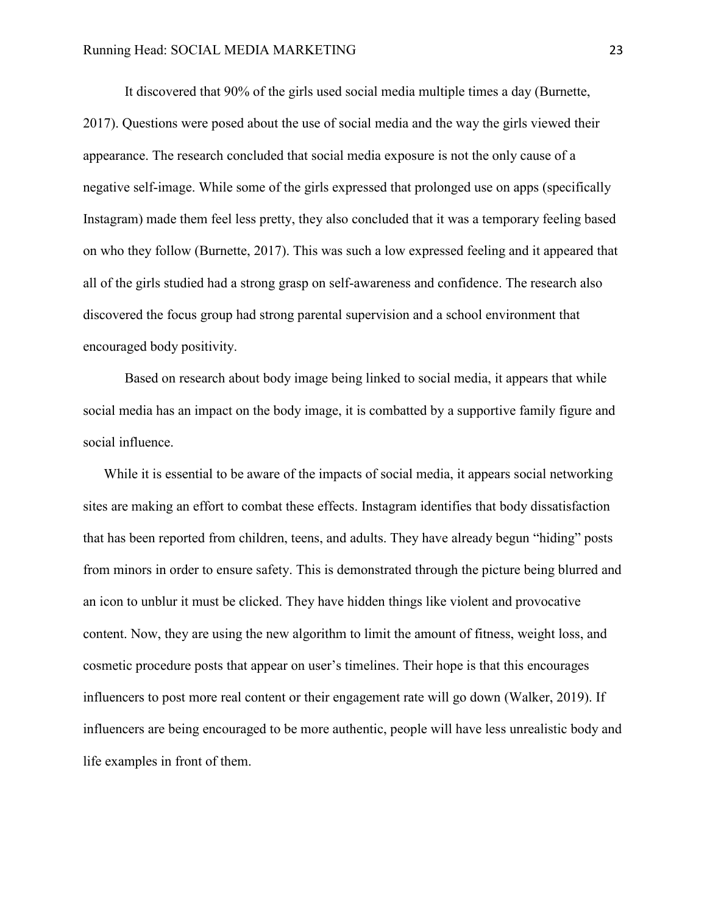It discovered that 90% of the girls used social media multiple times a day (Burnette, 2017). Questions were posed about the use of social media and the way the girls viewed their appearance. The research concluded that social media exposure is not the only cause of a negative self-image. While some of the girls expressed that prolonged use on apps (specifically Instagram) made them feel less pretty, they also concluded that it was a temporary feeling based on who they follow (Burnette, 2017). This was such a low expressed feeling and it appeared that all of the girls studied had a strong grasp on self-awareness and confidence. The research also discovered the focus group had strong parental supervision and a school environment that encouraged body positivity.

Based on research about body image being linked to social media, it appears that while social media has an impact on the body image, it is combatted by a supportive family figure and social influence.

While it is essential to be aware of the impacts of social media, it appears social networking sites are making an effort to combat these effects. Instagram identifies that body dissatisfaction that has been reported from children, teens, and adults. They have already begun "hiding" posts from minors in order to ensure safety. This is demonstrated through the picture being blurred and an icon to unblur it must be clicked. They have hidden things like violent and provocative content. Now, they are using the new algorithm to limit the amount of fitness, weight loss, and cosmetic procedure posts that appear on user's timelines. Their hope is that this encourages influencers to post more real content or their engagement rate will go down (Walker, 2019). If influencers are being encouraged to be more authentic, people will have less unrealistic body and life examples in front of them.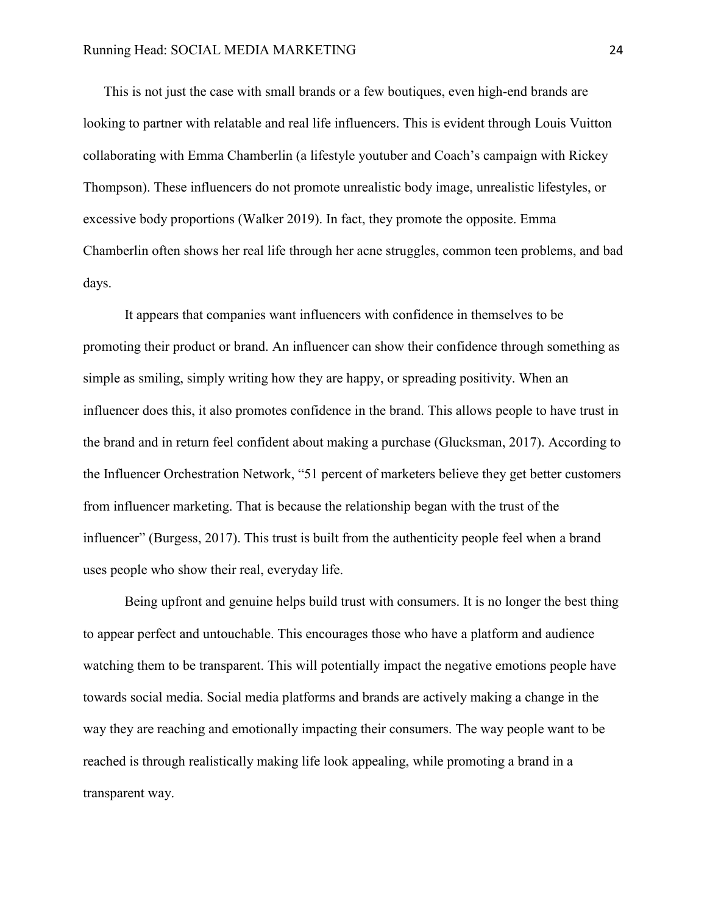This is not just the case with small brands or a few boutiques, even high-end brands are looking to partner with relatable and real life influencers. This is evident through Louis Vuitton collaborating with Emma Chamberlin (a lifestyle youtuber and Coach's campaign with Rickey Thompson). These influencers do not promote unrealistic body image, unrealistic lifestyles, or excessive body proportions (Walker 2019). In fact, they promote the opposite. Emma Chamberlin often shows her real life through her acne struggles, common teen problems, and bad days.

It appears that companies want influencers with confidence in themselves to be promoting their product or brand. An influencer can show their confidence through something as simple as smiling, simply writing how they are happy, or spreading positivity. When an influencer does this, it also promotes confidence in the brand. This allows people to have trust in the brand and in return feel confident about making a purchase (Glucksman, 2017). According to the Influencer Orchestration Network, "51 percent of marketers believe they get better customers from influencer marketing. That is because the relationship began with the trust of the influencer" (Burgess, 2017). This trust is built from the authenticity people feel when a brand uses people who show their real, everyday life.

Being upfront and genuine helps build trust with consumers. It is no longer the best thing to appear perfect and untouchable. This encourages those who have a platform and audience watching them to be transparent. This will potentially impact the negative emotions people have towards social media. Social media platforms and brands are actively making a change in the way they are reaching and emotionally impacting their consumers. The way people want to be reached is through realistically making life look appealing, while promoting a brand in a transparent way.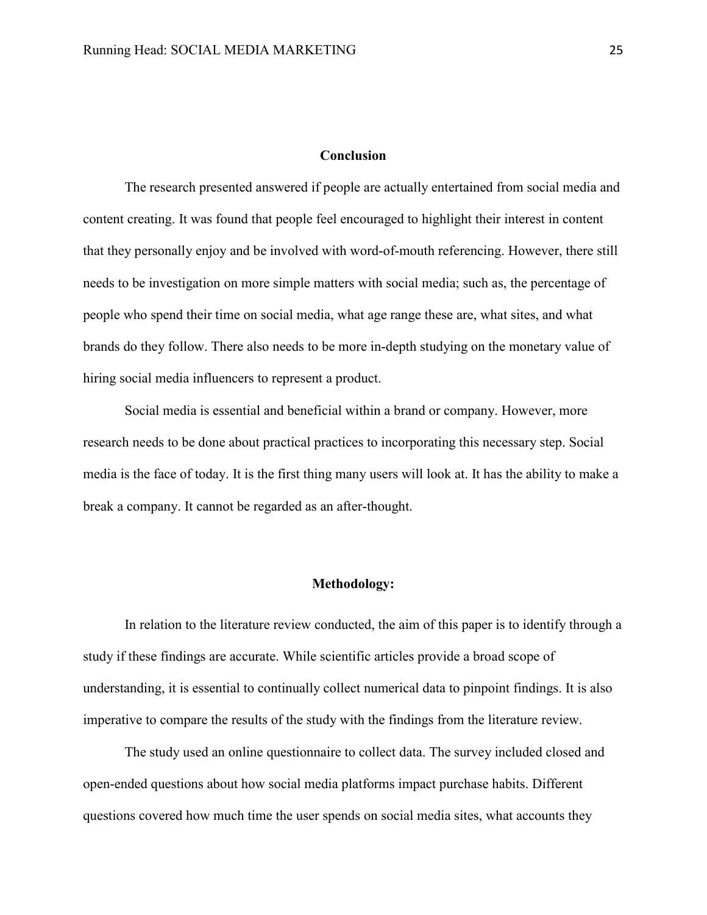# **Conclusion**

The research presented answered if people are actually entertained from social media and content creating. It was found that people feel encouraged to highlight their interest in content that they personally enjoy and be involved with word-of-mouth referencing. However, there still needs to be investigation on more simple matters with social media; such as, the percentage of people who spend their time on social media, what age range these are, what sites, and what brands do they follow. There also needs to be more in-depth studying on the monetary value of hiring social media influencers to represent a product.

Social media is essential and beneficial within a brand or company. However, more research needs to be done about practical practices to incorporating this necessary step. Social media is the face of today. It is the first thing many users will look at. It has the ability to make a break a company. It cannot be regarded as an after-thought.

#### **Methodology:**

<span id="page-29-0"></span>In relation to the literature review conducted, the aim of this paper is to identify through a study if these findings are accurate. While scientific articles provide a broad scope of understanding, it is essential to continually collect numerical data to pinpoint findings. It is also imperative to compare the results of the study with the findings from the literature review.

The study used an online questionnaire to collect data. The survey included closed and open-ended questions about how social media platforms impact purchase habits. Different questions covered how much time the user spends on social media sites, what accounts they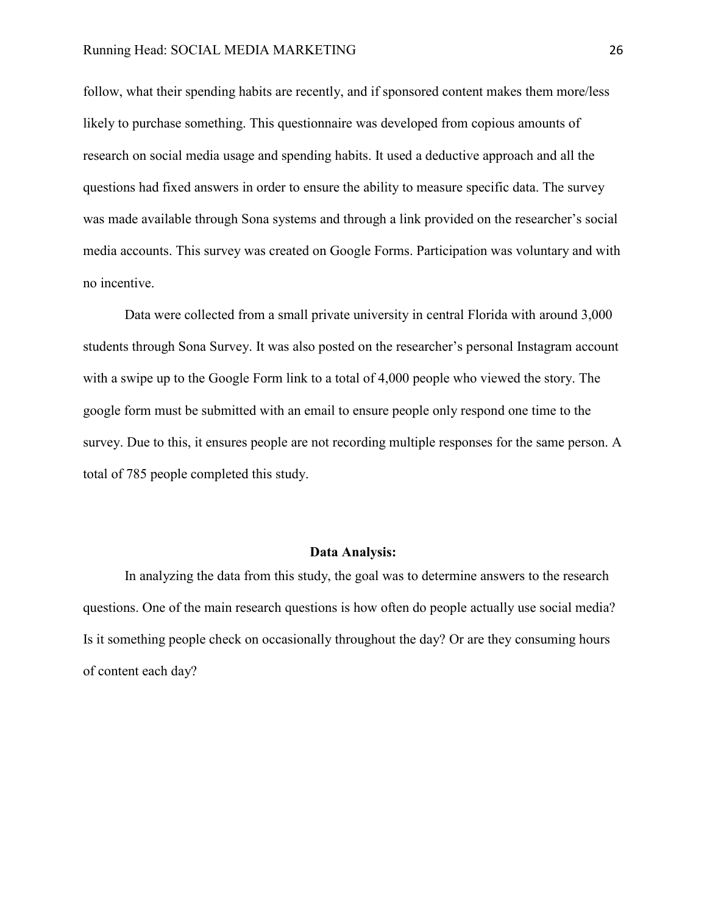#### Running Head: SOCIAL MEDIA MARKETING 26

follow, what their spending habits are recently, and if sponsored content makes them more/less likely to purchase something. This questionnaire was developed from copious amounts of research on social media usage and spending habits. It used a deductive approach and all the questions had fixed answers in order to ensure the ability to measure specific data. The survey was made available through Sona systems and through a link provided on the researcher's social media accounts. This survey was created on Google Forms. Participation was voluntary and with no incentive.

Data were collected from a small private university in central Florida with around 3,000 students through Sona Survey. It was also posted on the researcher's personal Instagram account with a swipe up to the Google Form link to a total of 4,000 people who viewed the story. The google form must be submitted with an email to ensure people only respond one time to the survey. Due to this, it ensures people are not recording multiple responses for the same person. A total of 785 people completed this study.

#### **Data Analysis:**

<span id="page-30-0"></span>In analyzing the data from this study, the goal was to determine answers to the research questions. One of the main research questions is how often do people actually use social media? Is it something people check on occasionally throughout the day? Or are they consuming hours of content each day?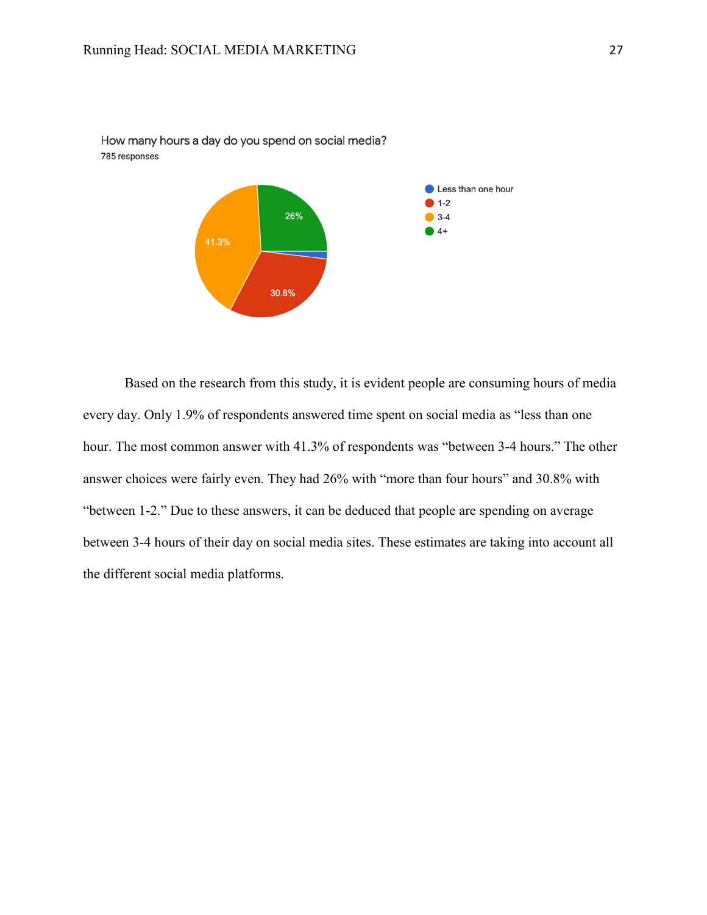

How many hours a day do you spend on social media? 785 responses

Based on the research from this study, it is evident people are consuming hours of media every day. Only 1.9% of respondents answered time spent on social media as "less than one hour. The most common answer with 41.3% of respondents was "between 3-4 hours." The other answer choices were fairly even. They had 26% with "more than four hours" and 30.8% with "between 1-2." Due to these answers, it can be deduced that people are spending on average between 3-4 hours of their day on social media sites. These estimates are taking into account all the different social media platforms.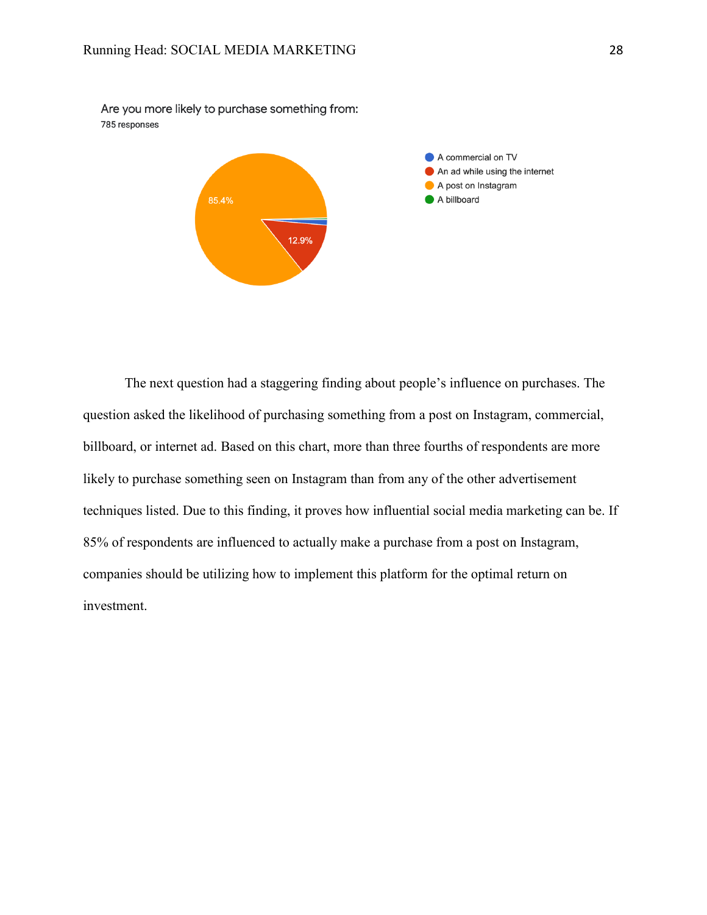Are you more likely to purchase something from: 785 responses



The next question had a staggering finding about people's influence on purchases. The question asked the likelihood of purchasing something from a post on Instagram, commercial, billboard, or internet ad. Based on this chart, more than three fourths of respondents are more likely to purchase something seen on Instagram than from any of the other advertisement techniques listed. Due to this finding, it proves how influential social media marketing can be. If 85% of respondents are influenced to actually make a purchase from a post on Instagram, companies should be utilizing how to implement this platform for the optimal return on investment.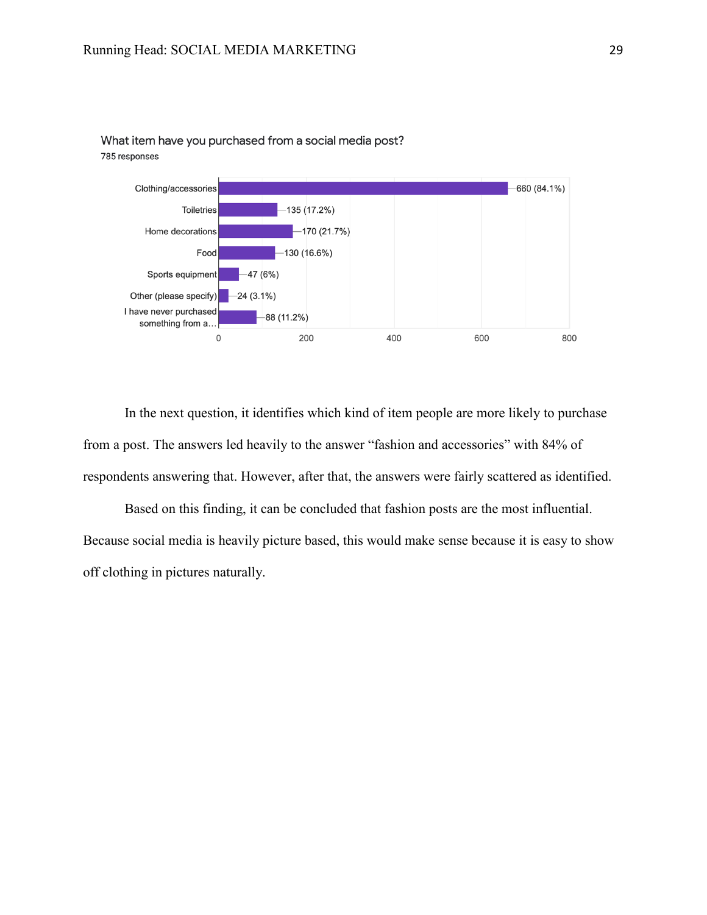

What item have you purchased from a social media post? 785 responses

In the next question, it identifies which kind of item people are more likely to purchase from a post. The answers led heavily to the answer "fashion and accessories" with 84% of respondents answering that. However, after that, the answers were fairly scattered as identified.

Based on this finding, it can be concluded that fashion posts are the most influential. Because social media is heavily picture based, this would make sense because it is easy to show off clothing in pictures naturally.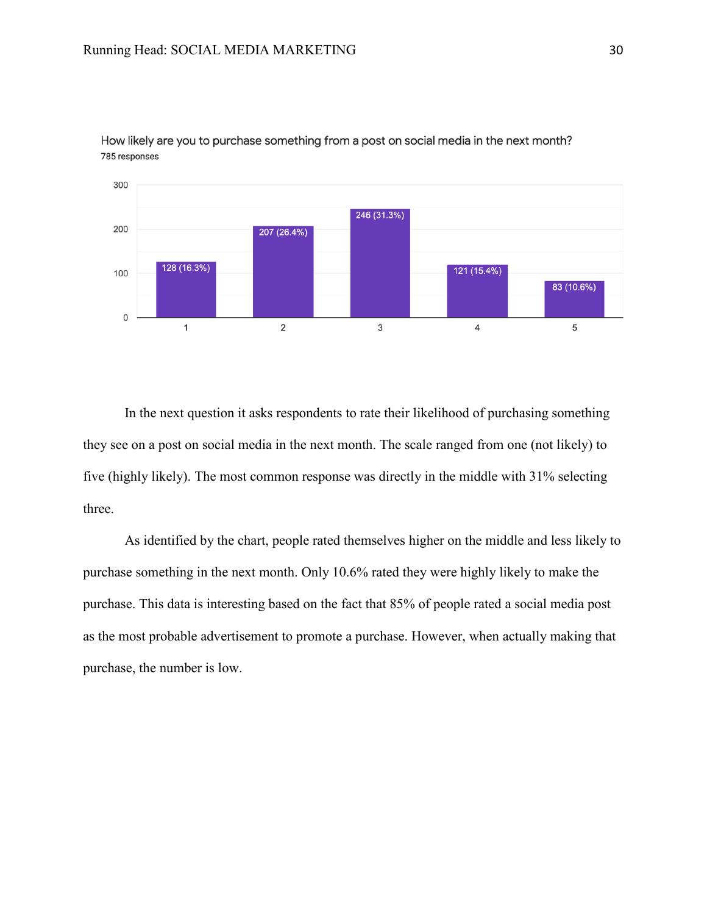

How likely are you to purchase something from a post on social media in the next month? 785 responses

In the next question it asks respondents to rate their likelihood of purchasing something they see on a post on social media in the next month. The scale ranged from one (not likely) to five (highly likely). The most common response was directly in the middle with 31% selecting three.

As identified by the chart, people rated themselves higher on the middle and less likely to purchase something in the next month. Only 10.6% rated they were highly likely to make the purchase. This data is interesting based on the fact that 85% of people rated a social media post as the most probable advertisement to promote a purchase. However, when actually making that purchase, the number is low.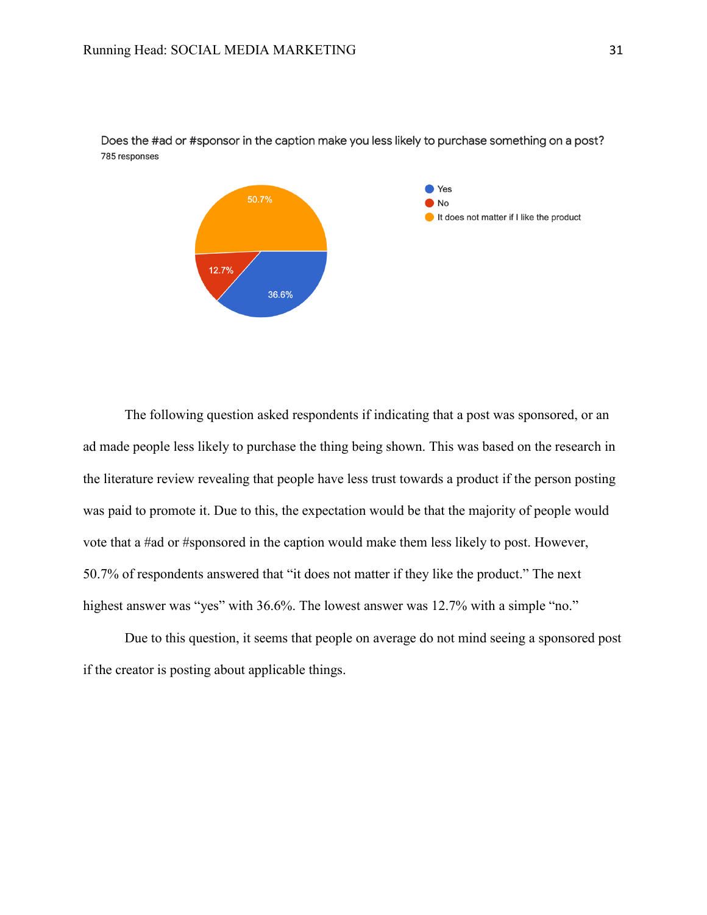

Does the #ad or #sponsor in the caption make you less likely to purchase something on a post? 785 responses

The following question asked respondents if indicating that a post was sponsored, or an ad made people less likely to purchase the thing being shown. This was based on the research in the literature review revealing that people have less trust towards a product if the person posting was paid to promote it. Due to this, the expectation would be that the majority of people would vote that a #ad or #sponsored in the caption would make them less likely to post. However, 50.7% of respondents answered that "it does not matter if they like the product." The next highest answer was "yes" with 36.6%. The lowest answer was 12.7% with a simple "no."

Due to this question, it seems that people on average do not mind seeing a sponsored post if the creator is posting about applicable things.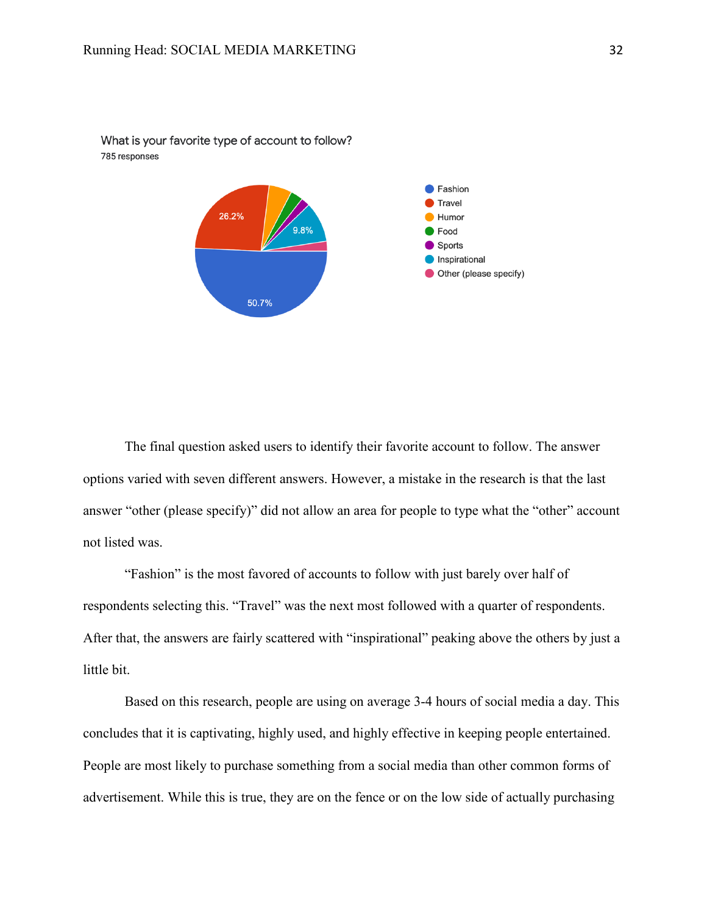

What is your favorite type of account to follow? 785 responses

The final question asked users to identify their favorite account to follow. The answer options varied with seven different answers. However, a mistake in the research is that the last answer "other (please specify)" did not allow an area for people to type what the "other" account not listed was.

"Fashion" is the most favored of accounts to follow with just barely over half of respondents selecting this. "Travel" was the next most followed with a quarter of respondents. After that, the answers are fairly scattered with "inspirational" peaking above the others by just a little bit.

Based on this research, people are using on average 3-4 hours of social media a day. This concludes that it is captivating, highly used, and highly effective in keeping people entertained. People are most likely to purchase something from a social media than other common forms of advertisement. While this is true, they are on the fence or on the low side of actually purchasing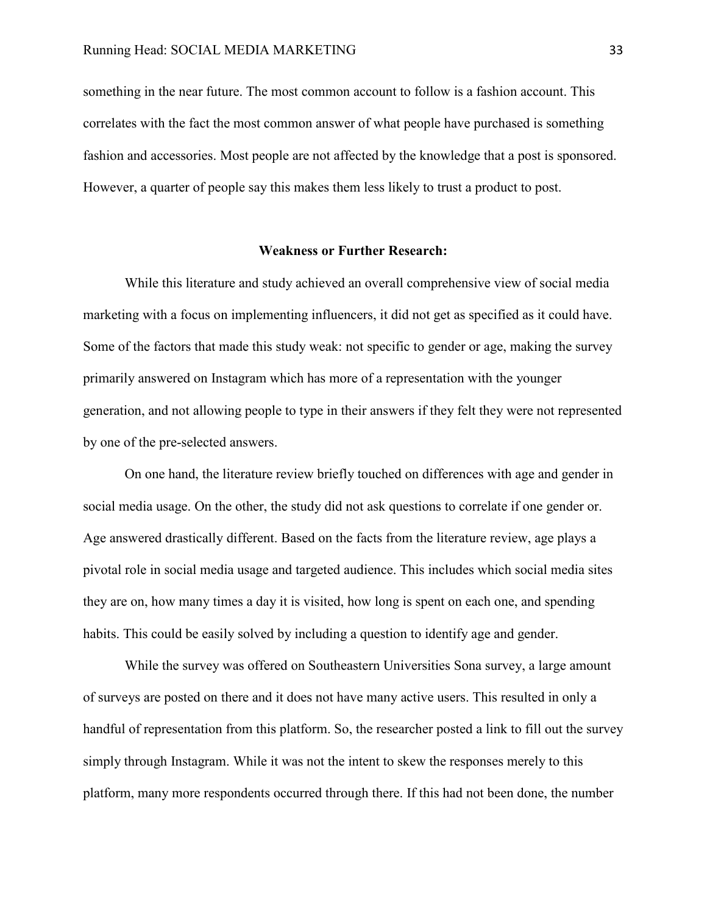something in the near future. The most common account to follow is a fashion account. This correlates with the fact the most common answer of what people have purchased is something fashion and accessories. Most people are not affected by the knowledge that a post is sponsored. However, a quarter of people say this makes them less likely to trust a product to post.

#### **Weakness or Further Research:**

While this literature and study achieved an overall comprehensive view of social media marketing with a focus on implementing influencers, it did not get as specified as it could have. Some of the factors that made this study weak: not specific to gender or age, making the survey primarily answered on Instagram which has more of a representation with the younger generation, and not allowing people to type in their answers if they felt they were not represented by one of the pre-selected answers.

On one hand, the literature review briefly touched on differences with age and gender in social media usage. On the other, the study did not ask questions to correlate if one gender or. Age answered drastically different. Based on the facts from the literature review, age plays a pivotal role in social media usage and targeted audience. This includes which social media sites they are on, how many times a day it is visited, how long is spent on each one, and spending habits. This could be easily solved by including a question to identify age and gender.

While the survey was offered on Southeastern Universities Sona survey, a large amount of surveys are posted on there and it does not have many active users. This resulted in only a handful of representation from this platform. So, the researcher posted a link to fill out the survey simply through Instagram. While it was not the intent to skew the responses merely to this platform, many more respondents occurred through there. If this had not been done, the number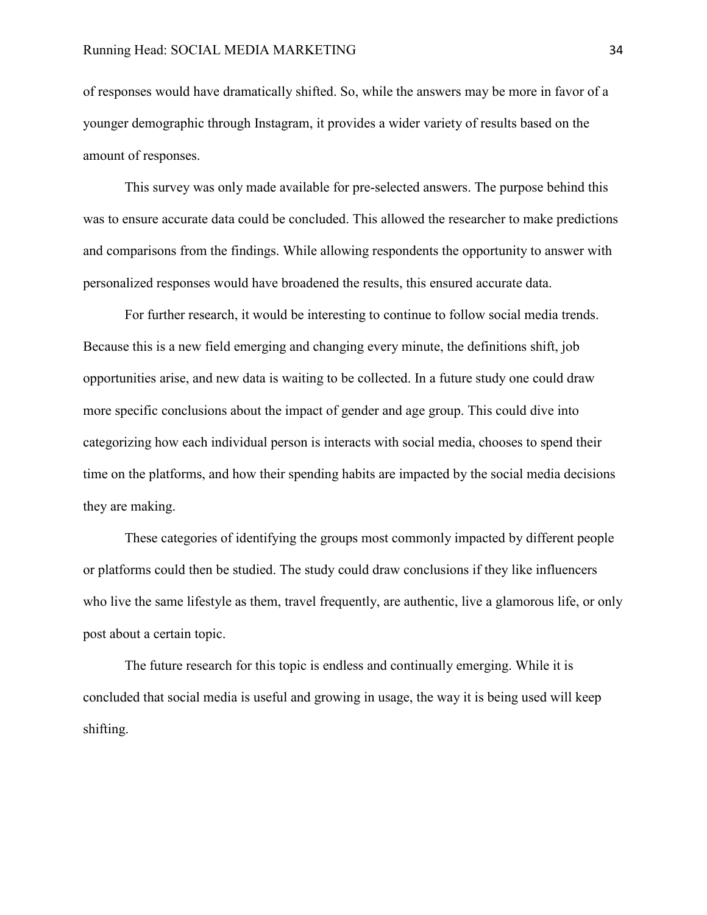of responses would have dramatically shifted. So, while the answers may be more in favor of a younger demographic through Instagram, it provides a wider variety of results based on the amount of responses.

This survey was only made available for pre-selected answers. The purpose behind this was to ensure accurate data could be concluded. This allowed the researcher to make predictions and comparisons from the findings. While allowing respondents the opportunity to answer with personalized responses would have broadened the results, this ensured accurate data.

For further research, it would be interesting to continue to follow social media trends. Because this is a new field emerging and changing every minute, the definitions shift, job opportunities arise, and new data is waiting to be collected. In a future study one could draw more specific conclusions about the impact of gender and age group. This could dive into categorizing how each individual person is interacts with social media, chooses to spend their time on the platforms, and how their spending habits are impacted by the social media decisions they are making.

These categories of identifying the groups most commonly impacted by different people or platforms could then be studied. The study could draw conclusions if they like influencers who live the same lifestyle as them, travel frequently, are authentic, live a glamorous life, or only post about a certain topic.

The future research for this topic is endless and continually emerging. While it is concluded that social media is useful and growing in usage, the way it is being used will keep shifting.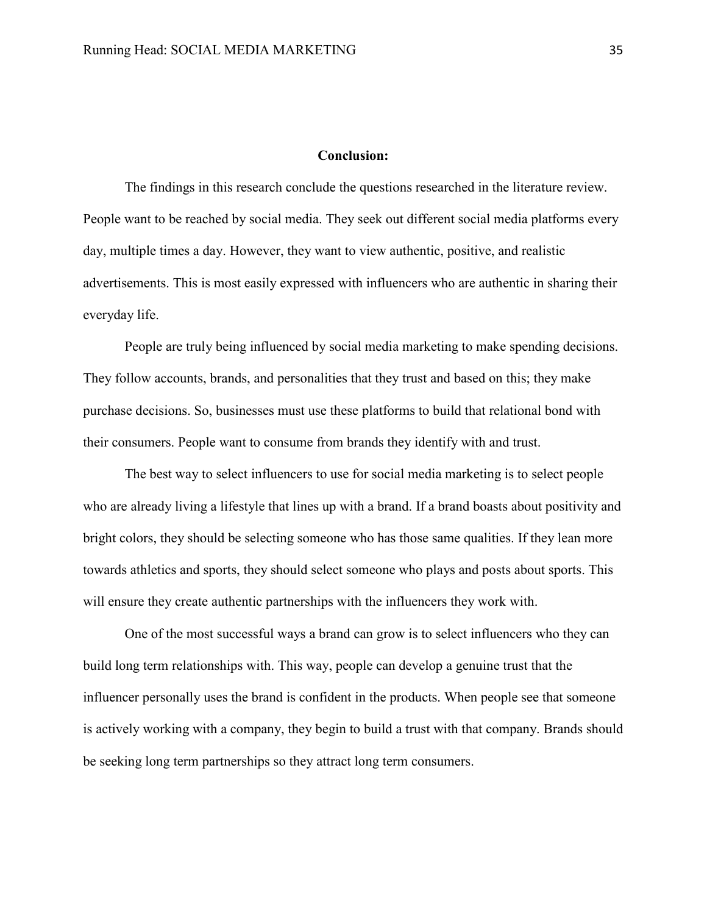#### **Conclusion:**

The findings in this research conclude the questions researched in the literature review. People want to be reached by social media. They seek out different social media platforms every day, multiple times a day. However, they want to view authentic, positive, and realistic advertisements. This is most easily expressed with influencers who are authentic in sharing their everyday life.

People are truly being influenced by social media marketing to make spending decisions. They follow accounts, brands, and personalities that they trust and based on this; they make purchase decisions. So, businesses must use these platforms to build that relational bond with their consumers. People want to consume from brands they identify with and trust.

The best way to select influencers to use for social media marketing is to select people who are already living a lifestyle that lines up with a brand. If a brand boasts about positivity and bright colors, they should be selecting someone who has those same qualities. If they lean more towards athletics and sports, they should select someone who plays and posts about sports. This will ensure they create authentic partnerships with the influencers they work with.

One of the most successful ways a brand can grow is to select influencers who they can build long term relationships with. This way, people can develop a genuine trust that the influencer personally uses the brand is confident in the products. When people see that someone is actively working with a company, they begin to build a trust with that company. Brands should be seeking long term partnerships so they attract long term consumers.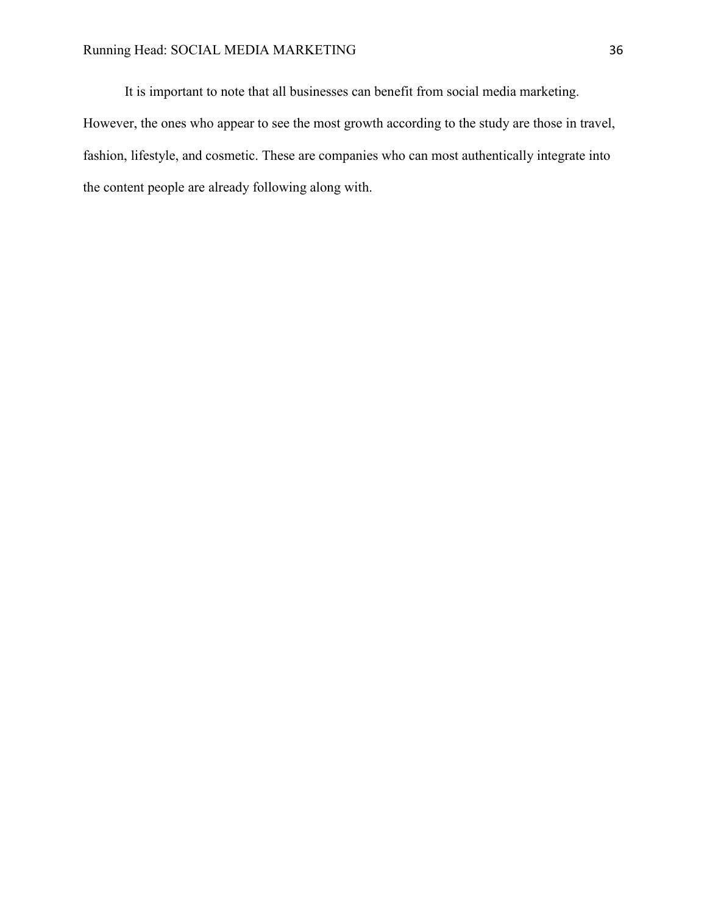It is important to note that all businesses can benefit from social media marketing. However, the ones who appear to see the most growth according to the study are those in travel, fashion, lifestyle, and cosmetic. These are companies who can most authentically integrate into the content people are already following along with.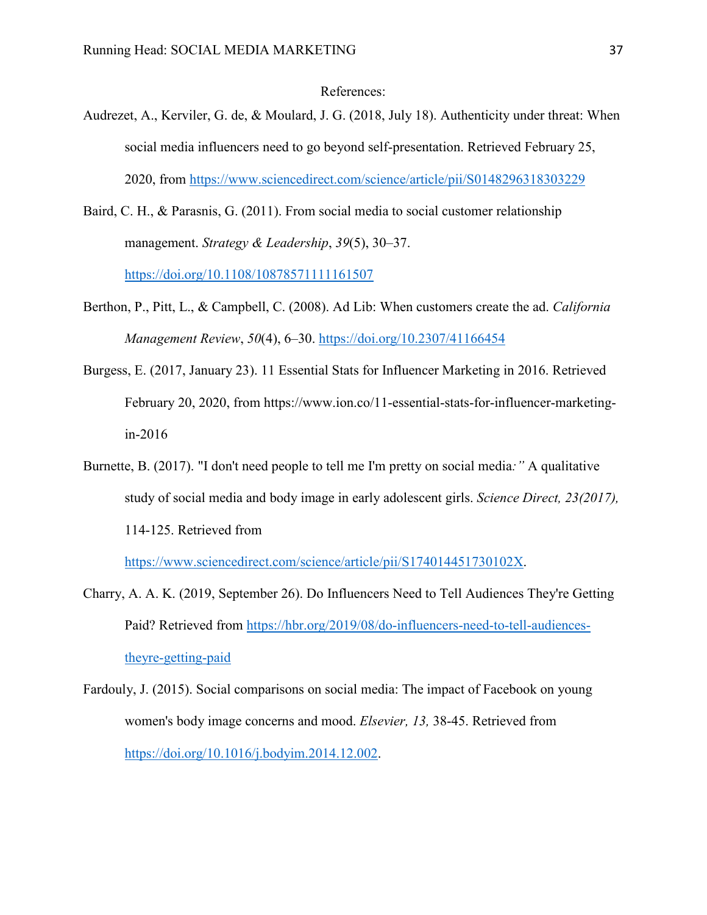# References:

- <span id="page-41-0"></span>Audrezet, A., Kerviler, G. de, & Moulard, J. G. (2018, July 18). Authenticity under threat: When social media influencers need to go beyond self-presentation. Retrieved February 25, 2020, from<https://www.sciencedirect.com/science/article/pii/S0148296318303229>
- Baird, C. H., & Parasnis, G. (2011). From social media to social customer relationship management. *Strategy & Leadership*, *39*(5), 30–37. <https://doi.org/10.1108/10878571111161507>
- Berthon, P., Pitt, L., & Campbell, C. (2008). Ad Lib: When customers create the ad. *California Management Review*, *50*(4), 6–30.<https://doi.org/10.2307/41166454>
- Burgess, E. (2017, January 23). 11 Essential Stats for Influencer Marketing in 2016. Retrieved February 20, 2020, from https://www.ion.co/11-essential-stats-for-influencer-marketingin-2016
- Burnette, B. (2017). "I don't need people to tell me I'm pretty on social media*:"* A qualitative study of social media and body image in early adolescent girls. *Science Direct, 23(2017),*  114-125. Retrieved from

[https://www.sciencedirect.com/science/article/pii/S174014451730102X.](https://www.sciencedirect.com/science/article/pii/S174014451730102X)

- Charry, A. A. K. (2019, September 26). Do Influencers Need to Tell Audiences They're Getting Paid? Retrieved from [https://hbr.org/2019/08/do-influencers-need-to-tell-audiences](https://hbr.org/2019/08/do-influencers-need-to-tell-audiences-theyre-getting-paid)[theyre-getting-paid](https://hbr.org/2019/08/do-influencers-need-to-tell-audiences-theyre-getting-paid)
- Fardouly, J. (2015). Social comparisons on social media: The impact of Facebook on young women's body image concerns and mood. *Elsevier, 13,* 38-45. Retrieved from [https://doi.org/10.1016/j.bodyim.2014.12.002.](https://doi.org/10.1016/j.bodyim.2014.12.002)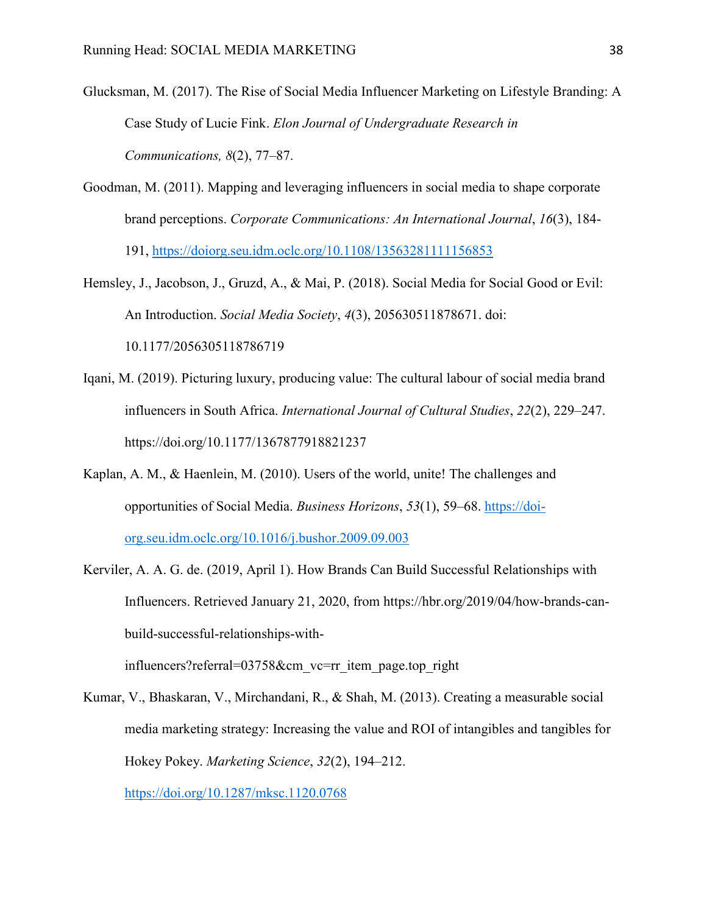- Glucksman, M. (2017). The Rise of Social Media Influencer Marketing on Lifestyle Branding: A Case Study of Lucie Fink. *Elon Journal of Undergraduate Research in Communications, 8*(2), 77–87.
- Goodman, M. (2011). Mapping and leveraging influencers in social media to shape corporate brand perceptions. *Corporate Communications: An International Journal*, *16*(3), 184- 191, <https://doiorg.seu.idm.oclc.org/10.1108/13563281111156853>
- Hemsley, J., Jacobson, J., Gruzd, A., & Mai, P. (2018). Social Media for Social Good or Evil: An Introduction. *Social Media Society*, *4*(3), 205630511878671. doi: 10.1177/2056305118786719
- Iqani, M. (2019). Picturing luxury, producing value: The cultural labour of social media brand influencers in South Africa. *International Journal of Cultural Studies*, *22*(2), 229–247. https://doi.org/10.1177/1367877918821237
- Kaplan, A. M., & Haenlein, M. (2010). Users of the world, unite! The challenges and opportunities of Social Media. *Business Horizons*, *53*(1), 59–68. [https://doi](https://doi-org.seu.idm.oclc.org/10.1016/j.bushor.2009.09.003)[org.seu.idm.oclc.org/10.1016/j.bushor.2009.09.003](https://doi-org.seu.idm.oclc.org/10.1016/j.bushor.2009.09.003)
- Kerviler, A. A. G. de. (2019, April 1). How Brands Can Build Successful Relationships with Influencers. Retrieved January 21, 2020, from https://hbr.org/2019/04/how-brands-canbuild-successful-relationships-with-

influencers?referral=03758&cm\_vc=rr\_item\_page.top\_right

Kumar, V., Bhaskaran, V., Mirchandani, R., & Shah, M. (2013). Creating a measurable social media marketing strategy: Increasing the value and ROI of intangibles and tangibles for Hokey Pokey. *Marketing Science*, *32*(2), 194–212. <https://doi.org/10.1287/mksc.1120.0768>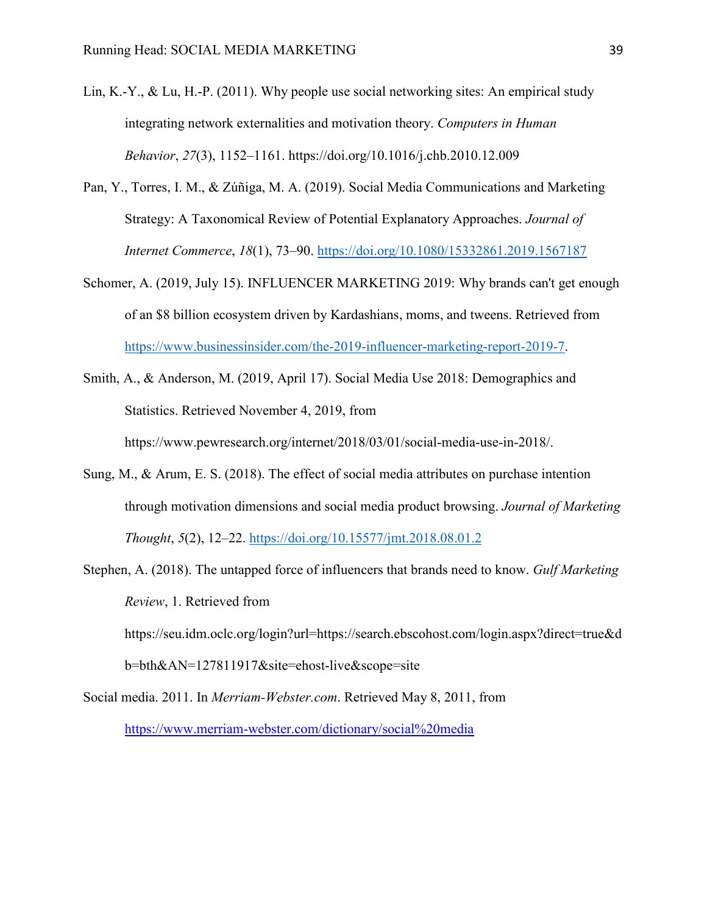- Lin, K.-Y., & Lu, H.-P. (2011). Why people use social networking sites: An empirical study integrating network externalities and motivation theory. *Computers in Human Behavior*, *27*(3), 1152–1161. https://doi.org/10.1016/j.chb.2010.12.009
- Pan, Y., Torres, I. M., & Zúñiga, M. A. (2019). Social Media Communications and Marketing Strategy: A Taxonomical Review of Potential Explanatory Approaches. *Journal of Internet Commerce*, *18*(1), 73–90.<https://doi.org/10.1080/15332861.2019.1567187>
- Schomer, A. (2019, July 15). INFLUENCER MARKETING 2019: Why brands can't get enough of an \$8 billion ecosystem driven by Kardashians, moms, and tweens. Retrieved from [https://www.businessinsider.com/the-2019-influencer-marketing-report-2019-7.](https://www.businessinsider.com/the-2019-influencer-marketing-report-2019-7)
- Smith, A., & Anderson, M. (2019, April 17). Social Media Use 2018: Demographics and Statistics. Retrieved November 4, 2019, from https://www.pewresearch.org/internet/2018/03/01/social-media-use-in-2018/.
- Sung, M., & Arum, E. S. (2018). The effect of social media attributes on purchase intention through motivation dimensions and social media product browsing. *Journal of Marketing Thought*, *5*(2), 12–22.<https://doi.org/10.15577/jmt.2018.08.01.2>
- Stephen, A. (2018). The untapped force of influencers that brands need to know. *Gulf Marketing Review*, 1. Retrieved from https://seu.idm.oclc.org/login?url=https://search.ebscohost.com/login.aspx?direct=true&d b=bth&AN=127811917&site=ehost-live&scope=site
- Social media. 2011. In *Merriam-Webster.com*. Retrieved May 8, 2011, from <https://www.merriam-webster.com/dictionary/social%20media>